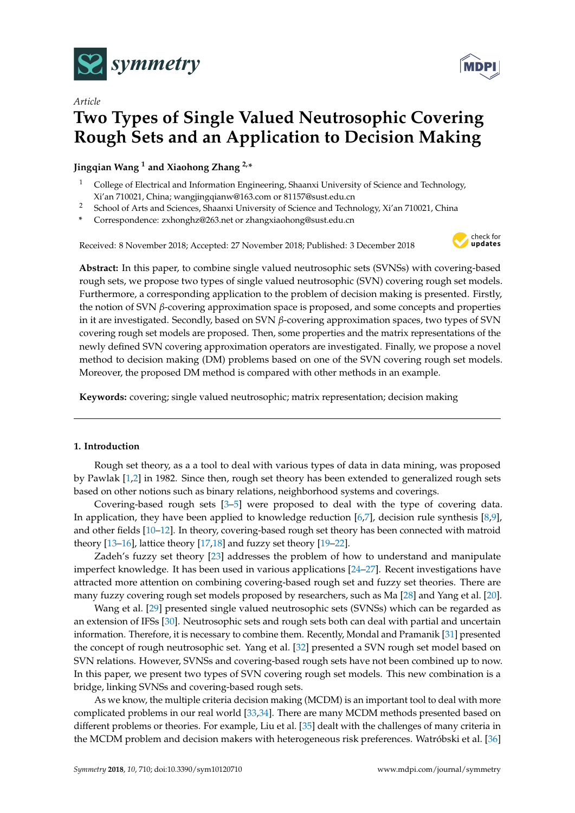

*Article*



# **Two Types of Single Valued Neutrosophic Covering Rough Sets and an Application to Decision Making**

**Jingqian Wang <sup>1</sup> and Xiaohong Zhang 2,\***

- <sup>1</sup> College of Electrical and Information Engineering, Shaanxi University of Science and Technology, Xi'an 710021, China; wangjingqianw@163.com or 81157@sust.edu.cn
- <sup>2</sup> School of Arts and Sciences, Shaanxi University of Science and Technology, Xi'an 710021, China
- **\*** Correspondence: zxhonghz@263.net or zhangxiaohong@sust.edu.cn

Received: 8 November 2018; Accepted: 27 November 2018; Published: 3 December 2018



**Abstract:** In this paper, to combine single valued neutrosophic sets (SVNSs) with covering-based rough sets, we propose two types of single valued neutrosophic (SVN) covering rough set models. Furthermore, a corresponding application to the problem of decision making is presented. Firstly, the notion of SVN *β*-covering approximation space is proposed, and some concepts and properties in it are investigated. Secondly, based on SVN *β*-covering approximation spaces, two types of SVN covering rough set models are proposed. Then, some properties and the matrix representations of the newly defined SVN covering approximation operators are investigated. Finally, we propose a novel method to decision making (DM) problems based on one of the SVN covering rough set models. Moreover, the proposed DM method is compared with other methods in an example.

**Keywords:** covering; single valued neutrosophic; matrix representation; decision making

# **1. Introduction**

Rough set theory, as a a tool to deal with various types of data in data mining, was proposed by Pawlak [\[1](#page-17-0)[,2\]](#page-17-1) in 1982. Since then, rough set theory has been extended to generalized rough sets based on other notions such as binary relations, neighborhood systems and coverings.

Covering-based rough sets [\[3](#page-17-2)[–5\]](#page-17-3) were proposed to deal with the type of covering data. In application, they have been applied to knowledge reduction [\[6,](#page-17-4)[7\]](#page-17-5), decision rule synthesis [\[8,](#page-17-6)[9\]](#page-17-7), and other fields [\[10](#page-17-8)[–12\]](#page-17-9). In theory, covering-based rough set theory has been connected with matroid theory [\[13](#page-17-10)[–16\]](#page-17-11), lattice theory [\[17,](#page-17-12)[18\]](#page-17-13) and fuzzy set theory [\[19–](#page-18-0)[22\]](#page-18-1).

Zadeh's fuzzy set theory [\[23\]](#page-18-2) addresses the problem of how to understand and manipulate imperfect knowledge. It has been used in various applications [\[24–](#page-18-3)[27\]](#page-18-4). Recent investigations have attracted more attention on combining covering-based rough set and fuzzy set theories. There are many fuzzy covering rough set models proposed by researchers, such as Ma [\[28\]](#page-18-5) and Yang et al. [\[20\]](#page-18-6).

Wang et al. [\[29\]](#page-18-7) presented single valued neutrosophic sets (SVNSs) which can be regarded as an extension of IFSs [\[30\]](#page-18-8). Neutrosophic sets and rough sets both can deal with partial and uncertain information. Therefore, it is necessary to combine them. Recently, Mondal and Pramanik [\[31\]](#page-18-9) presented the concept of rough neutrosophic set. Yang et al. [\[32\]](#page-18-10) presented a SVN rough set model based on SVN relations. However, SVNSs and covering-based rough sets have not been combined up to now. In this paper, we present two types of SVN covering rough set models. This new combination is a bridge, linking SVNSs and covering-based rough sets.

As we know, the multiple criteria decision making (MCDM) is an important tool to deal with more complicated problems in our real world [\[33](#page-18-11)[,34\]](#page-18-12). There are many MCDM methods presented based on different problems or theories. For example, Liu et al. [\[35\]](#page-18-13) dealt with the challenges of many criteria in the MCDM problem and decision makers with heterogeneous risk preferences. Watróbski et al. [\[36\]](#page-18-14)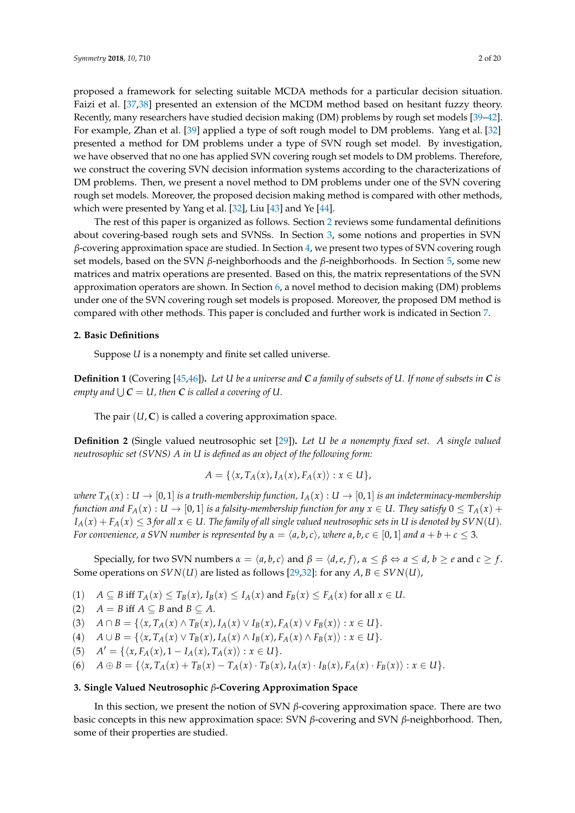Recently, many researchers have studied decision making (DM) problems by rough set models [\[39–](#page-18-17)[42\]](#page-18-18). For example, Zhan et al. [\[39\]](#page-18-17) applied a type of soft rough model to DM problems. Yang et al. [\[32\]](#page-18-10) presented a method for DM problems under a type of SVN rough set model. By investigation, we have observed that no one has applied SVN covering rough set models to DM problems. Therefore, we construct the covering SVN decision information systems according to the characterizations of DM problems. Then, we present a novel method to DM problems under one of the SVN covering rough set models. Moreover, the proposed decision making method is compared with other methods, which were presented by Yang et al. [\[32\]](#page-18-10), Liu [\[43\]](#page-18-19) and Ye [\[44\]](#page-18-20).

The rest of this paper is organized as follows. Section [2](#page-1-0) reviews some fundamental definitions about covering-based rough sets and SVNSs. In Section [3,](#page-1-1) some notions and properties in SVN *β*-covering approximation space are studied. In Section [4,](#page-4-0) we present two types of SVN covering rough set models, based on the SVN *β*-neighborhoods and the *β*-neighborhoods. In Section [5,](#page-7-0) some new matrices and matrix operations are presented. Based on this, the matrix representations of the SVN approximation operators are shown. In Section [6,](#page-11-0) a novel method to decision making (DM) problems under one of the SVN covering rough set models is proposed. Moreover, the proposed DM method is compared with other methods. This paper is concluded and further work is indicated in Section [7.](#page-16-0)

#### <span id="page-1-0"></span>**2. Basic Definitions**

Suppose *U* is a nonempty and finite set called universe.

**Definition 1** (Covering [\[45,](#page-18-21)[46\]](#page-18-22))**.** *Let U be a universe and C a family of subsets of U. If none of subsets in C is* empty and  $\bigcup C = U$ , then  $C$  is called a covering of  $U.$ 

The pair  $(U, C)$  is called a covering approximation space.

**Definition 2** (Single valued neutrosophic set [\[29\]](#page-18-7))**.** *Let U be a nonempty fixed set. A single valued neutrosophic set (SVNS) A in U is defined as an object of the following form:*

$$
A = \{ \langle x, T_A(x), I_A(x), F_A(x) \rangle : x \in U \},
$$

*where*  $T_A(x): U \to [0,1]$  *is a truth-membership function,*  $I_A(x): U \to [0,1]$  *is an indeterminacy-membership function and*  $F_A(x) : U \to [0,1]$  *is a falsity-membership function for any*  $x \in U$ . They satisfy  $0 \le T_A(x) +$  $I_A(x) + F_A(x) \leq 3$  *for all*  $x \in U$ . The family of all single valued neutrosophic sets in U is denoted by  $SVN(U)$ . *For convenience, a SVN number is represented by*  $\alpha = \langle a, b, c \rangle$ , where  $a, b, c \in [0, 1]$  and  $a + b + c \leq 3$ .

Specially, for two SVN numbers  $\alpha = \langle a, b, c \rangle$  and  $\beta = \langle d, e, f \rangle$ ,  $\alpha \leq \beta \Leftrightarrow a \leq d$ ,  $b \geq e$  and  $c \geq f$ . Some operations on *SVN*(*U*) are listed as follows [\[29,](#page-18-7)[32\]](#page-18-10): for any  $A, B \in SVN(U)$ ,

- (1)  $A \subseteq B$  iff  $T_A(x) \leq T_B(x)$ ,  $I_B(x) \leq I_A(x)$  and  $F_B(x) \leq F_A(x)$  for all  $x \in U$ .
- (2)  $A = B$  iff  $A \subseteq B$  and  $B \subseteq A$ .

(3)  $A \cap B = \{ \langle x, T_A(x) \land T_B(x), I_A(x) \lor I_B(x), F_A(x) \lor F_B(x) \rangle : x \in U \}.$ 

(4)  $A \cup B = \{ \langle x, T_A(x) \vee T_B(x), I_A(x) \wedge I_B(x), F_A(x) \wedge F_B(x) \rangle : x \in U \}.$ 

 $(A')$   $A' = \{ \langle x, F_A(x), 1 - I_A(x), T_A(x) \rangle : x \in U \}.$ 

(6) 
$$
A \oplus B = \{ \langle x, T_A(x) + T_B(x) - T_A(x) \cdot T_B(x), I_A(x) \cdot I_B(x), F_A(x) \cdot F_B(x) \rangle : x \in U \}.
$$

#### <span id="page-1-1"></span>**3. Single Valued Neutrosophic** *β***-Covering Approximation Space**

In this section, we present the notion of SVN *β*-covering approximation space. There are two basic concepts in this new approximation space: SVN *β*-covering and SVN *β*-neighborhood. Then, some of their properties are studied.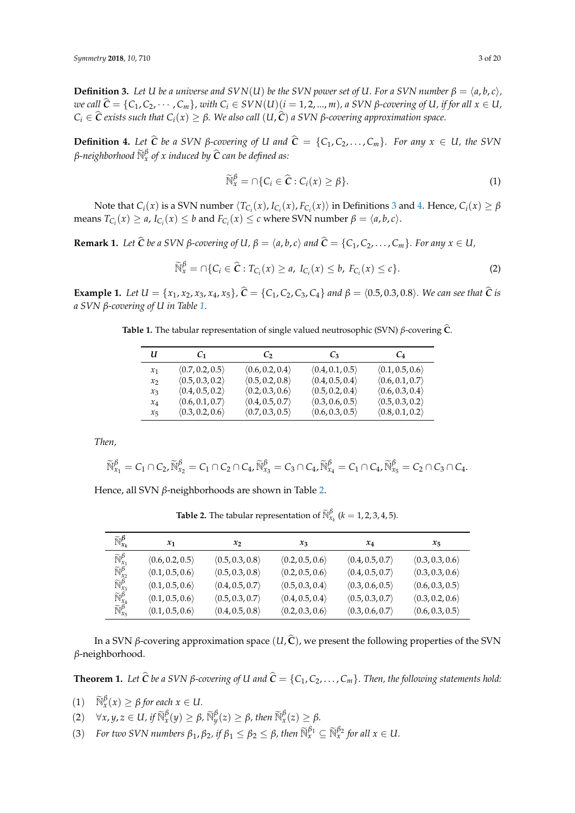<span id="page-2-0"></span>**Definition 3.** Let *U* be a universe and  $SVN(U)$  be the SVN power set of *U*. For a SVN number  $\beta = \langle a, b, c \rangle$ , we call  $\hat{C} = \{C_1, C_2, \cdots, C_m\}$ , with  $C_i \in SVM(U)(i = 1, 2, ..., m)$ , a SVN  $\beta$ -covering of U, if for all  $x \in U$ ,  $C_i$  ∈  $\hat{C}$  *exists such that*  $C_i(x) ≥ β$ *. We also call*  $(U, \hat{C})$  *a SVN β-covering approximation space.* 

<span id="page-2-1"></span>**Definition 4.** Let  $\hat{C}$  be a SVN  $\beta$ -covering of *U* and  $\hat{C} = \{C_1, C_2, \ldots, C_m\}$ *. For any*  $x \in U$ *, the SVN β-neighborhood*  $\widetilde{\mathbb{N}}_x^{\beta}$  of x induced by  $\widehat{\mathcal{C}}$  can be defined as:

$$
\widetilde{\mathbb{N}}_x^{\beta} = \cap \{ C_i \in \widehat{\mathbf{C}} : C_i(x) \ge \beta \}. \tag{1}
$$

Note that  $C_i(x)$  is a SVN number  $\langle T_{C_i}(x), I_{C_i}(x), F_{C_i}(x) \rangle$  in Definitions [3](#page-2-0) and [4.](#page-2-1) Hence,  $C_i(x) \ge \beta$  $\text{means } T_{C_i}(x) \ge a, I_{C_i}(x) \le b \text{ and } F_{C_i}(x) \le c \text{ where SVM number } \beta = \langle a, b, c \rangle.$ 

**Remark 1.** Let  $\hat{C}$  be a SVN  $\beta$ -covering of U,  $\beta = \langle a, b, c \rangle$  and  $\hat{C} = \{C_1, C_2, \dots, C_m\}$ . For any  $x \in U$ ,

$$
\widetilde{\mathbb{N}}_x^{\beta} = \cap \{ C_i \in \widehat{\mathbf{C}} : T_{C_i}(x) \ge a, I_{C_i}(x) \le b, F_{C_i}(x) \le c \}. \tag{2}
$$

<span id="page-2-4"></span><span id="page-2-2"></span>**Example 1.** Let  $U = \{x_1, x_2, x_3, x_4, x_5\}$ ,  $\hat{C} = \{C_1, C_2, C_3, C_4\}$  and  $\beta = \langle 0.5, 0.3, 0.8 \rangle$ . We can see that  $\hat{C}$  is *a SVN β-covering of U in Table [1.](#page-2-2)*

**Table 1.** The tabular representation of single valued neutrosophic (SVN) *<sup>β</sup>*-covering **<sup>C</sup>**b.

| u       | C1                              | C,                              | $\mathcal{C}_3$                 | $C_4$                           |
|---------|---------------------------------|---------------------------------|---------------------------------|---------------------------------|
| $x_1$   | $\langle 0.7, 0.2, 0.5 \rangle$ | $\langle 0.6, 0.2, 0.4 \rangle$ | $\langle 0.4, 0.1, 0.5 \rangle$ | $\langle 0.1, 0.5, 0.6 \rangle$ |
| $x_2$   | $\langle 0.5, 0.3, 0.2 \rangle$ | $\langle 0.5, 0.2, 0.8 \rangle$ | $\langle 0.4, 0.5, 0.4 \rangle$ | $\langle 0.6, 0.1, 0.7 \rangle$ |
| $x_3$   | $\langle 0.4, 0.5, 0.2 \rangle$ | $\langle 0.2, 0.3, 0.6 \rangle$ | $\langle 0.5, 0.2, 0.4 \rangle$ | $\langle 0.6, 0.3, 0.4 \rangle$ |
| $x_4$   | $\langle 0.6, 0.1, 0.7 \rangle$ | $\langle 0.4, 0.5, 0.7 \rangle$ | $\langle 0.3, 0.6, 0.5 \rangle$ | $\langle 0.5, 0.3, 0.2 \rangle$ |
| $x_{5}$ | $\langle 0.3, 0.2, 0.6 \rangle$ | $\langle 0.7, 0.3, 0.5 \rangle$ | $\langle 0.6, 0.3, 0.5 \rangle$ | $\langle 0.8, 0.1, 0.2 \rangle$ |

*Then,*

$$
\widetilde{\mathbb{N}}^{\beta}_{x_1}=C_1\cap C_2, \widetilde{\mathbb{N}}^{\beta}_{x_2}=C_1\cap C_2\cap C_4, \widetilde{\mathbb{N}}^{\beta}_{x_3}=C_3\cap C_4, \widetilde{\mathbb{N}}^{\beta}_{x_4}=C_1\cap C_4, \widetilde{\mathbb{N}}^{\beta}_{x_5}=C_2\cap C_3\cap C_4.
$$

<span id="page-2-3"></span>Hence, all SVN *β*-neighborhoods are shown in Table [2.](#page-2-3)

**Table 2.** The tabular representation of  $\widetilde{\mathbb{N}}_{x_k}^{\beta}$  ( $k = 1, 2, 3, 4, 5$ ).

| $\widetilde{\mathbb{N}}_{x_k}^{\boldsymbol{\beta}}$                                                                                                   | $x_1$           | $x_2$                           | $x_3$                           | $x_4$                           | $x_{5}$                         |
|-------------------------------------------------------------------------------------------------------------------------------------------------------|-----------------|---------------------------------|---------------------------------|---------------------------------|---------------------------------|
| $\widetilde{\mathbb{N}}_{x_1}^{\beta}$                                                                                                                | (0.6, 0.2, 0.5) | $\langle 0.5, 0.3, 0.8 \rangle$ | $\langle 0.2, 0.5, 0.6 \rangle$ | $\langle 0.4, 0.5, 0.7 \rangle$ | $\langle 0.3, 0.3, 0.6 \rangle$ |
| $\widetilde{\mathbb{N}}_{\mathbf{x}_2}^{\beta}$<br>$\widetilde{\mathbb{N}}_{\mathbf{x}_3}^{\beta}$<br>$\widetilde{\mathbb{N}}_{\mathbf{x}_4}^{\beta}$ | (0.1, 0.5, 0.6) | $\langle 0.5, 0.3, 0.8 \rangle$ | $\langle 0.2, 0.5, 0.6 \rangle$ | $\langle 0.4, 0.5, 0.7 \rangle$ | $\langle 0.3, 0.3, 0.6 \rangle$ |
|                                                                                                                                                       | (0.1, 0.5, 0.6) | $\langle 0.4, 0.5, 0.7 \rangle$ | $\langle 0.5, 0.3, 0.4 \rangle$ | $\langle 0.3, 0.6, 0.5 \rangle$ | $\langle 0.6, 0.3, 0.5 \rangle$ |
|                                                                                                                                                       | (0.1, 0.5, 0.6) | $\langle 0.5, 0.3, 0.7 \rangle$ | (0.4, 0.5, 0.4)                 | $\langle 0.5, 0.3, 0.7 \rangle$ | $\langle 0.3, 0.2, 0.6 \rangle$ |
| $\widetilde{\mathbb{N}}_{x_5}^{\beta}$                                                                                                                | (0.1, 0.5, 0.6) | (0.4, 0.5, 0.8)                 | $\langle 0.2, 0.3, 0.6 \rangle$ | $\langle 0.3, 0.6, 0.7 \rangle$ | (0.6, 0.3, 0.5)                 |

In a SVN *β*-covering approximation space  $(U, \hat{C})$ , we present the following properties of the SVN *β*-neighborhood.

<span id="page-2-5"></span>**Theorem 1.** Let  $\hat{C}$  be a SVN  $\beta$ -covering of U and  $\hat{C} = \{C_1, C_2, \ldots, C_m\}$ . Then, the following statements hold:

- $(1)$   $\widetilde{\mathbb{N}}_x^{\beta}(x) \geq \beta$  for each  $x \in U$ .
- $(2)$   $\forall x, y, z \in U$ , if  $\widetilde{\mathbb{N}}_x^{\beta}(y) \ge \beta$ ,  $\widetilde{\mathbb{N}}_y^{\beta}(z) \ge \beta$ , then  $\widetilde{\mathbb{N}}_x^{\beta}(z) \ge \beta$ .
- (3) *For two SVN numbers*  $\beta_1$ ,  $\beta_2$ , if  $\beta_1 \leq \beta_2 \leq \beta$ , then  $\widetilde{\mathbb{N}}_x^{\beta_1} \subseteq \widetilde{\mathbb{N}}_x^{\beta_2}$  for all  $x \in U$ .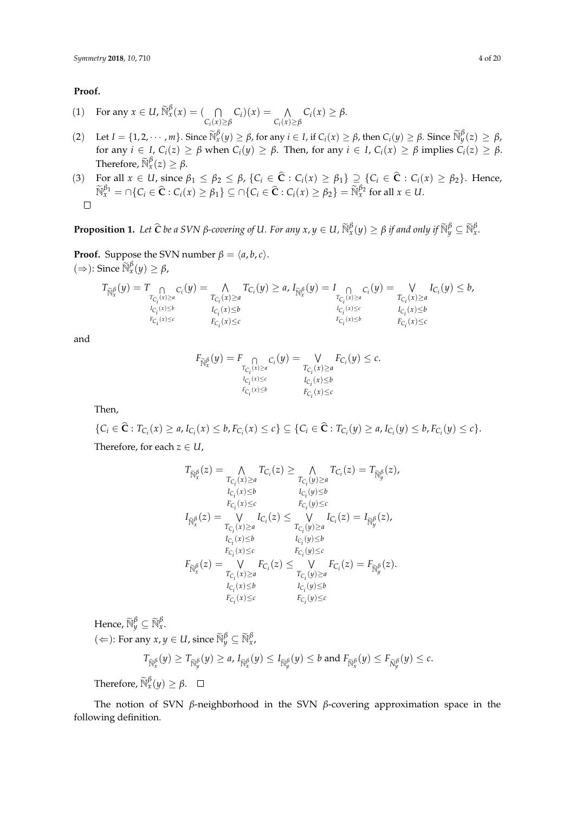### **Proof.**

- (1) For any  $x \in U$ ,  $\widetilde{\mathbb{N}}_x^{\beta}(x) = (\bigcap_{\beta \in \mathbb{N}} \beta(\beta)$ *Ci* (*x*)≥*β*  $C_i(x) = \Lambda$ *Ci* (*x*)≥*β*  $C_i(x) \geq \beta$ .
- (2) Let  $I = \{1, 2, \dots, m\}$ . Since  $\widetilde{\mathbb{N}}_x^{\beta}(y) \ge \beta$ , for any  $i \in I$ , if  $C_i(x) \ge \beta$ , then  $C_i(y) \ge \beta$ . Since  $\widetilde{\mathbb{N}}_y^{\beta}(z) \ge \beta$ . for any  $i \in I$ ,  $C_i(z) \ge \beta$  when  $C_i(y) \ge \beta$ . Then, for any  $i \in I$ ,  $C_i(x) \ge \beta$  implies  $C_i(z) \ge \beta$ . Therefore,  $\widetilde{\mathbb{N}}_{x}^{\beta}(z) \geq \beta$ .

(3) For all 
$$
x \in U
$$
, since  $\beta_1 \leq \beta_2 \leq \beta$ ,  $\{C_i \in \mathbf{C} : C_i(x) \geq \beta_1\} \supseteq \{C_i \in \mathbf{C} : C_i(x) \geq \beta_2\}$ . Hence,  $\widetilde{\mathbb{N}}_x^{\beta_1} = \cap \{C_i \in \widehat{\mathbf{C}} : C_i(x) \geq \beta_1\} \subseteq \cap \{C_i \in \widehat{\mathbf{C}} : C_i(x) \geq \beta_2\} = \widetilde{\mathbb{N}}_x^{\beta_2}$  for all  $x \in U$ .

<span id="page-3-0"></span>**Proposition 1.** Let  $\widehat{C}$  be a SVN  $\beta$ -covering of U. For any  $x, y \in U$ ,  $\widetilde{\mathbb{N}}_x^{\beta}(y) \ge \beta$  if and only if  $\widetilde{\mathbb{N}}_y^{\beta} \subseteq \widetilde{\mathbb{N}}_x^{\beta}$ .

**Proof.** Suppose the SVN number  $\beta = \langle a, b, c \rangle$ .  $(\Rightarrow)$ : Since  $\widetilde{\mathbb{N}}_x^{\beta}(y) \geq \beta$ ,

$$
T_{\widetilde{\mathbb{N}}^{\beta}_x}(y) = T_{\underset{\substack{T_{C_i}(x) \geq a \\ I_{C_i}(x) \leq b}}{\bigcap} C_i}(y) = \underset{\substack{T_{C_i}(x) \geq a \\ I_{C_i}(x) \leq b}}{\bigwedge} T_{C_i}(y) \geq a, I_{\widetilde{\mathbb{N}}^{\beta}_x}(y) = I_{\underset{\substack{T_{C_i}(x) \geq a \\ I_{C_i}(x) \leq c}}{\bigcap} C_i}(y) = \underset{\substack{T_{C_i}(x) \leq a \\ I_{C_i}(x) \leq b}}{\bigvee} I_{C_i}(y) \leq b,}
$$

and

$$
F_{\widetilde{\mathbb{N}}^{\beta}_x}(y) = F \underset{\substack{T_{C_i}(x) \ge a \\ I_{C_i}(x) \le c \\ F_{C_i}(x) \le b}}{\cap} C_i(y) = \underset{\substack{T_{C_i}(x) \ge a \\ I_{C_i}(x) \le b}}{\vee} F_{C_i}(y) \le c.
$$

Then,

$$
\{C_i \in \widehat{\mathbf{C}} : T_{C_i}(x) \ge a, I_{C_i}(x) \le b, F_{C_i}(x) \le c\} \subseteq \{C_i \in \widehat{\mathbf{C}} : T_{C_i}(y) \ge a, I_{C_i}(y) \le b, F_{C_i}(y) \le c\}.
$$
  
Therefore, for each  $z \in U$ 

Therefore, for each 
$$
z \in U
$$
,

$$
\begin{aligned} T_{\widetilde{\mathbb{N}}^{\beta}_x}(z) &= \bigwedge_{T_{C_i}(x)\geq a} T_{C_i}(z) \geq \bigwedge_{T_{C_i}(y)\geq a} T_{C_i}(z) = T_{\widetilde{\mathbb{N}}^{\beta}_y}(z),\\ &\quad \underset{I_{C_i}(x)\leq b}{\underset{I_{C_i}(x)\leq b}{\underset{I_{C_i}(x)\leq c}{\underset{I_{C_i}(y)\leq b}{\underset{I_{C_i}(y)\leq b}{\underset{I_{C_i}(y)\leq b}{\underset{I_{C_i}(y)\leq a}{\underset{I_{C_i}(y)\leq a}{\underset{I_{C_i}(y)\leq a}{\underset{I_{C_i}(y)\leq b}{\underset{I_{C_i}(y)\leq b}{\underset{I_{C_i}(y)\leq b}{\underset{I_{C_i}(x)\leq b}{\underset{I_{C_i}(x)\leq b}{\underset{I_{C_i}(x)\leq b}{\underset{I_{C_i}(x)\leq b}{\underset{I_{C_i}(x)\leq b}{\underset{I_{C_i}(x)\leq b}{\underset{I_{C_i}(x)\leq b}{\underset{I_{C_i}(x)\leq b}{\underset{I_{C_i}(x)\leq b}{\underset{I_{C_i}(y)\leq b}{\underset{I_{C_i}(y)\leq b}{\underset{I_{C_i}(y)\leq b}{\underset{I_{C_i}(y)\leq b}{\underset{I_{C_i}(y)\leq c}}}}}}}} \end{aligned}
$$

Hence,  $\widetilde{\mathbb{N}}_{\mathcal{Y}}^{\beta} \subseteq \widetilde{\mathbb{N}}_{\mathcal{X}}^{\beta}$ .

 $(\Leftarrow)$ : For any  $x, y \in U$ , since  $\widetilde{\mathbb{N}}_y^{\beta} \subseteq \widetilde{\mathbb{N}}_x^{\beta}$ ,

$$
T_{\widetilde{\mathbb{N}}^{\beta}_x}(y) \geq T_{\widetilde{\mathbb{N}}^{\beta}_y}(y) \geq a, I_{\widetilde{\mathbb{N}}^{\beta}_x}(y) \leq I_{\widetilde{\mathbb{N}}^{\beta}_y}(y) \leq b \text{ and } F_{\widetilde{\mathbb{N}}^{\beta}_x}(y) \leq F_{\widetilde{\mathbb{N}}^{\beta}_y}(y) \leq c.
$$

Therefore,  $\widetilde{\mathbb{N}}_{x}^{\beta}(y) \geq \beta$ .

The notion of SVN *β*-neighborhood in the SVN *β*-covering approximation space in the following definition.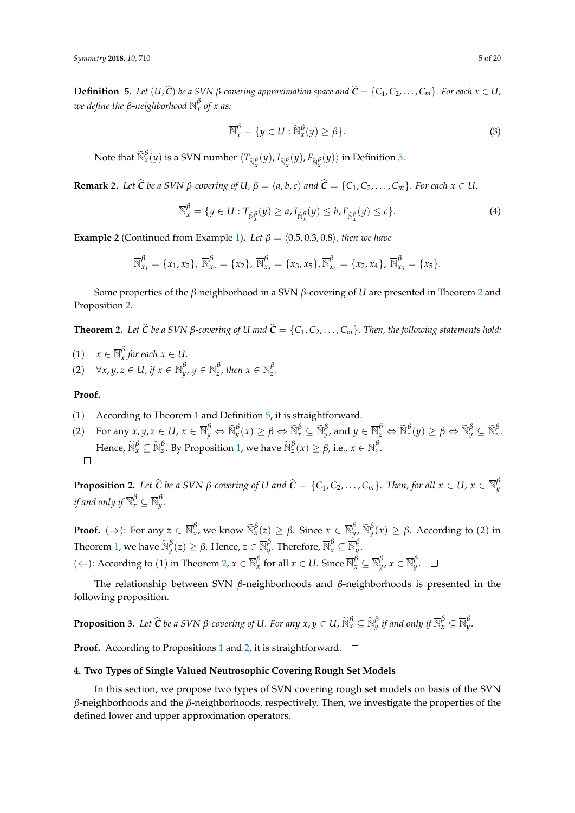<span id="page-4-1"></span>**Definition 5.** Let  $(U, \hat{C})$  be a SVN  $\beta$ -covering approximation space and  $\hat{C} = \{C_1, C_2, \ldots, C_m\}$ . For each  $x \in U$ , *we define the β-neighborhood* N *β x of x as:*

$$
\overline{\mathbb{N}}_x^{\beta} = \{ y \in U : \widetilde{\mathbb{N}}_x^{\beta}(y) \ge \beta \}. \tag{3}
$$

Note that  $\widetilde{\mathbb{N}}_x^{\beta}(y)$  is a SVN number  $\langle T_{\widetilde{\mathbb{N}}_x^{\beta}}(y), I_{\widetilde{\mathbb{N}}_x^{\beta}}(y), F_{\widetilde{\mathbb{N}}_x^{\beta}}(y)\rangle$  in Definition [5.](#page-4-1)

**Remark 2.** Let  $\widehat{C}$  be a SVN  $\beta$ -covering of U,  $\beta = \langle a, b, c \rangle$  and  $\widehat{C} = \{C_1, C_2, \dots, C_m\}$ . For each  $x \in U$ ,

$$
\overline{\mathbb{N}}_{x}^{\beta} = \{ y \in U : T_{\widetilde{\mathbb{N}}_{x}^{\beta}}(y) \geq a, I_{\widetilde{\mathbb{N}}_{x}^{\beta}}(y) \leq b, F_{\widetilde{\mathbb{N}}_{x}^{\beta}}(y) \leq c \}. \tag{4}
$$

<span id="page-4-4"></span>**Example 2** (Continued from Example [1\)](#page-2-4). *Let*  $\beta = \langle 0.5, 0.3, 0.8 \rangle$ *, then we have* 

$$
\overline{\mathbb{N}}_{x_1}^{\beta} = \{x_1, x_2\}, \ \overline{\mathbb{N}}_{x_2}^{\beta} = \{x_2\}, \ \overline{\mathbb{N}}_{x_3}^{\beta} = \{x_3, x_5\}, \overline{\mathbb{N}}_{x_4}^{\beta} = \{x_2, x_4\}, \ \overline{\mathbb{N}}_{x_5}^{\beta} = \{x_5\}.
$$

Some properties of the *β*-neighborhood in a SVN *β*-covering of *U* are presented in Theorem [2](#page-4-2) and Proposition [2.](#page-4-3)

<span id="page-4-2"></span>**Theorem 2.** Let  $\hat{C}$  be a SVN  $\beta$ -covering of U and  $\hat{C} = \{C_1, C_2, \ldots, C_m\}$ . Then, the following statements hold:

- (1)  $x \in \overline{\mathbb{N}}_x^{\beta}$  for each  $x \in U$ .
- $(2)$   $\forall x, y, z \in U$ , if  $x \in \overline{\mathbb{N}}_y^{\beta}$ ,  $y \in \overline{\mathbb{N}}_z^{\beta}$ , then  $x \in \overline{\mathbb{N}}_z^{\beta}$ .

# **Proof.**

- (1) According to Theorem [1](#page-2-5) and Definition [5,](#page-4-1) it is straightforward.
- (2) For any  $x, y, z \in U$ ,  $x \in \overline{\mathbb{N}}_y^{\beta} \Leftrightarrow \widetilde{\mathbb{N}}_y^{\beta}(x) \ge \beta \Leftrightarrow \widetilde{\mathbb{N}}_x^{\beta} \subseteq \widetilde{\mathbb{N}}_y^{\beta}$ , and  $y \in \overline{\mathbb{N}}_z^{\beta} \Leftrightarrow \widetilde{\mathbb{N}}_z^{\beta}(y) \ge \beta \Leftrightarrow \widetilde{\mathbb{N}}_y^{\beta} \subseteq \widetilde{\mathbb{N}}_z^{\beta}$ . Hence,  $\widetilde{\mathbb{N}}_x^{\beta} \subseteq \widetilde{\mathbb{N}}_z^{\beta}$ . By Proposition [1,](#page-3-0) we have  $\widetilde{\mathbb{N}}_z^{\beta}(x) \geq \beta$ , i.e.,  $x \in \overline{\mathbb{N}}_z^{\beta}$ .  $\Box$

<span id="page-4-3"></span>**Proposition 2.** Let  $\widehat{C}$  be a SVN  $\beta$ -covering of U and  $\widehat{C} = \{C_1, C_2, \ldots, C_m\}$ . Then, for all  $x \in U$ ,  $x \in \overline{\mathbb{N}}_y^{\beta}$ if and only if  $\overline{\mathbb{N}}_{x}^{\beta} \subseteq \overline{\mathbb{N}}_{y}^{\beta}.$ 

**Proof.** ( $\Rightarrow$ ): For any  $z \in \overline{\mathbb{N}}_x^{\beta}$ , we know  $\widetilde{\mathbb{N}}_x^{\beta}(z) \geq \beta$ . Since  $x \in \overline{\mathbb{N}}_y^{\beta}$ ,  $\widetilde{\mathbb{N}}_y^{\beta}(x) \geq \beta$ . According to (2) in Theorem [1,](#page-2-5) we have  $\widetilde{\mathbb{N}}_{y}^{\beta}(z) \geq \beta$ . Hence,  $z \in \overline{\mathbb{N}}_{y}^{\beta}$ . Therefore,  $\overline{\mathbb{N}}_{x}^{\beta} \subseteq \overline{\mathbb{N}}_{y}^{\beta}$ .  $(\Leftarrow)$ : According to (1) in Theorem [2,](#page-4-2)  $x \in \overline{\mathbb{N}}_x^{\beta}$  for all  $x \in U$ . Since  $\overline{\mathbb{N}}_x^{\beta} \subseteq \overline{\mathbb{N}}_y^{\beta}$ ,  $x \in \overline{\mathbb{N}}_y^{\beta}$ .

The relationship between SVN *β*-neighborhoods and *β*-neighborhoods is presented in the following proposition.

**Proposition 3.** Let  $\widehat{\mathbf{C}}$  be a SVN  $\beta$ -covering of U. For any  $x,y\in U$ ,  $\widetilde{\mathbb{N}}_x^\beta\subseteq\widetilde{\mathbb{N}}_y^\beta$  if and only if  $\overline{\mathbb{N}}_x^\beta\subseteq\overline{\mathbb{N}}_y^\beta$ .

**Proof.** According to Propositions [1](#page-3-0) and [2,](#page-4-3) it is straightforward. □

#### <span id="page-4-0"></span>**4. Two Types of Single Valued Neutrosophic Covering Rough Set Models**

In this section, we propose two types of SVN covering rough set models on basis of the SVN *β*-neighborhoods and the *β*-neighborhoods, respectively. Then, we investigate the properties of the defined lower and upper approximation operators.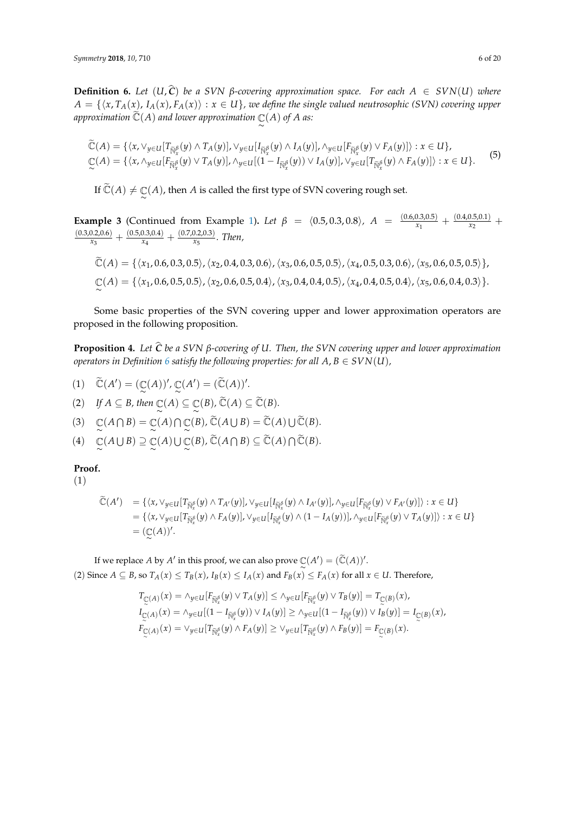<span id="page-5-0"></span>**Definition 6.** *Let*  $(U, \hat{C})$  *be a SVN β-covering approximation space. For each A* ∈ *SVN*(*U*) *where*  $A = \{\langle x, T_A(x), I_A(x), F_A(x)\rangle : x \in U\}$ , we define the single valued neutrosophic (SVN) covering upper approximation  $\widetilde{\mathbb{C}}(A)$  and lower approximation  $\mathbb{C}(A)$  of  $A$  as:

$$
\widetilde{\mathbb{C}}(A) = \{ \langle x, \vee_{y \in U} [T_{\widetilde{\mathbb{N}}^{\beta}_{x}}(y) \wedge T_{A}(y)], \vee_{y \in U} [I_{\widetilde{\mathbb{N}}^{\beta}_{x}}(y) \wedge I_{A}(y)], \wedge_{y \in U} [F_{\widetilde{\mathbb{N}}^{\beta}_{x}}(y) \vee F_{A}(y)] \rangle : x \in U \},\
$$
\n
$$
\mathbb{C}(A) = \{ \langle x, \wedge_{y \in U} [F_{\widetilde{\mathbb{N}}^{\beta}_{x}}(y) \vee T_{A}(y)], \wedge_{y \in U} [(1 - I_{\widetilde{\mathbb{N}}^{\beta}_{x}}(y)) \vee I_{A}(y)], \vee_{y \in U} [T_{\widetilde{\mathbb{N}}^{\beta}_{x}}(y) \wedge F_{A}(y)] \rangle : x \in U \}.
$$
\n(5)

If  $\widetilde{\mathbb{C}}(A) \neq \mathbb{C}(A)$ , then  $A$  is called the first type of SVN covering rough set.

<span id="page-5-1"></span>**Example 3** (Continued from Example [1\)](#page-2-4). Let  $\beta = (0.5, 0.3, 0.8)$ ,  $A = \frac{(0.6, 0.3, 0.5)}{x_1}$  $\frac{(0.3,0.5)}{x_1} + \frac{(0.4,0.5,0.1)}{x_2}$  $\frac{0.5,0.1)}{x_2}$  +  $(0.3, 0.2, 0.6)$  $\frac{(0.5,0.3,0.4)}{x_3} + \frac{(0.5,0.3,0.4)}{x_4}$  $\frac{(0.7,0.2,0.3)}{x_4}$  +  $\frac{(0.7,0.2,0.3)}{x_5}$ *x*5 *. Then,*

$$
\widetilde{\mathbb{C}}(A) = \{ \langle x_1, 0.6, 0.3, 0.5 \rangle, \langle x_2, 0.4, 0.3, 0.6 \rangle, \langle x_3, 0.6, 0.5, 0.5 \rangle, \langle x_4, 0.5, 0.3, 0.6 \rangle, \langle x_5, 0.6, 0.5, 0.5 \rangle \},
$$
  

$$
\mathbb{C}(A) = \{ \langle x_1, 0.6, 0.5, 0.5 \rangle, \langle x_2, 0.6, 0.5, 0.4 \rangle, \langle x_3, 0.4, 0.4, 0.5 \rangle, \langle x_4, 0.4, 0.5, 0.4 \rangle, \langle x_5, 0.6, 0.4, 0.3 \rangle \}.
$$

Some basic properties of the SVN covering upper and lower approximation operators are proposed in the following proposition.

**Proposition 4.** *Let <sup>C</sup>*<sup>b</sup> *be a SVN <sup>β</sup>-covering of U. Then, the SVN covering upper and lower approximation operators in Definition [6](#page-5-0) satisfy the following properties: for all*  $A, B \in SVN(U)$ *,* 

- (1)  $\widetilde{\mathbb{C}}(A') = (\mathbb{C}(A))', \mathbb{C}(A') = (\widetilde{\mathbb{C}}(A))'.$
- $(2)$  *If*  $A \subseteq B$ , then  $\mathbb{C}(A) \subseteq \mathbb{C}(B)$ ,  $\widetilde{\mathbb{C}}(A) \subseteq \widetilde{\mathbb{C}}(B)$ .
- (3)  $\mathbb{C}(A \cap B) = \mathbb{C}(A) \cap \mathbb{C}(B)$ ,  $\widetilde{\mathbb{C}}(A \cup B) = \widetilde{\mathbb{C}}(A) \cup \widetilde{\mathbb{C}}(B)$ .
- $(A)$   $\mathbb{C}(A \cup B) \supseteq \mathbb{C}(A) \cup \mathbb{C}(B)$ ,  $\widetilde{\mathbb{C}}(A \cap B) \subseteq \widetilde{\mathbb{C}}(A) \cap \widetilde{\mathbb{C}}(B)$ .

# **Proof.**

(1)

$$
\begin{aligned}\n\widetilde{\mathbb{C}}(A') &= \{ \langle x, \vee_{y \in U} [T_{\widetilde{\mathbb{N}}_x^{\beta}}(y) \wedge T_{A'}(y)], \vee_{y \in U} [I_{\widetilde{\mathbb{N}}_x^{\beta}}(y) \wedge I_{A'}(y)], \wedge_{y \in U} [F_{\widetilde{\mathbb{N}}_x^{\beta}}(y) \vee F_{A'}(y)] \rangle : x \in U \} \\
&= \{ \langle x, \vee_{y \in U} [T_{\widetilde{\mathbb{N}}_x^{\beta}}(y) \wedge F_A(y)], \vee_{y \in U} [I_{\widetilde{\mathbb{N}}_x^{\beta}}(y) \wedge (1 - I_A(y))] \rangle, \wedge_{y \in U} [F_{\widetilde{\mathbb{N}}_x^{\beta}}(y) \vee T_A(y)] \rangle : x \in U \} \\
&= (\mathbb{C}(A))'.\n\end{aligned}
$$

If we replace *A* by *A'* in this proof, we can also prove  $\mathbb{C}(A') = (\widetilde{\mathbb{C}}(A))'$ . (2) Since  $A \subseteq B$ , so  $T_A(x) \leq T_B(x)$ ,  $I_B(x) \leq I_A(x)$  and  $F_B(x) \leq F_A(x)$  for all  $x \in U$ . Therefore,

$$
T_{\mathbb{C}(A)}(x) = \wedge_{y \in U} [F_{\widetilde{\mathbb{N}}_x^{\beta}}(y) \vee T_A(y)] \le \wedge_{y \in U} [F_{\widetilde{\mathbb{N}}_x^{\beta}}(y) \vee T_B(y)] = T_{\mathbb{C}(B)}(x),
$$
  
\n
$$
I_{\mathbb{C}(A)}(x) = \wedge_{y \in U} [(1 - I_{\widetilde{\mathbb{N}}_x^{\beta}}(y)) \vee I_A(y)] \ge \wedge_{y \in U} [(1 - I_{\widetilde{\mathbb{N}}_x^{\beta}}(y)) \vee I_B(y)] = I_{\mathbb{C}(B)}(x),
$$
  
\n
$$
F_{\mathbb{C}(A)}(x) = \vee_{y \in U} [T_{\widetilde{\mathbb{N}}_x^{\beta}}(y) \wedge F_A(y)] \ge \vee_{y \in U} [T_{\widetilde{\mathbb{N}}_x^{\beta}}(y) \wedge F_B(y)] = F_{\mathbb{C}(B)}(x).
$$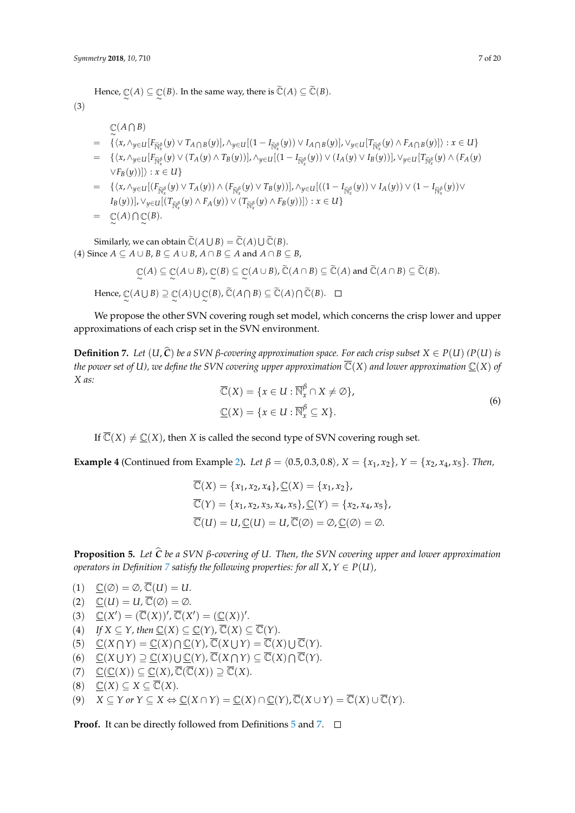Hence,  $\mathbb{C}(A) \subseteq \mathbb{C}(B)$ . In the same way, there is  $\widetilde{\mathbb{C}}(A) \subseteq \widetilde{\mathbb{C}}(B)$ .

(3)

# $\mathbb{C}^{\left( A\cap B\right) }$

- $= \{ \langle x, \wedge_{y\in U} [F_{\widetilde{N}^{\beta}_{x}}(y) \vee T_{A\bigcap B}(y)], \wedge_{y\in U} [(1-I_{\widetilde{N}^{\beta}_{x}}(y)) \vee I_{A\bigcap B}(y)], \vee_{y\in U} [T_{\widetilde{N}^{\beta}_{x}}(y) \wedge F_{A\bigcap B}(y)] \rangle : x \in U \}$
- $=\ \{\langle x, \wedge_{y\in U} [F_{\widetilde{\mathbb{N}}^{\beta}_{x}}(y) \vee (T_{A}(y) \wedge T_{B}(y))] , \wedge_{y\in U} [(1-I_{\widetilde{\mathbb{N}}^{\beta}_{x}}(y)) \vee (I_{A}(y) \vee I_{B}(y))] , \vee_{y\in U} [T_{\widetilde{\mathbb{N}}^{\beta}_{x}}(y) \wedge (F_{A}(y) \vee F_{B}(y))] \}$ *∨F<sub>B</sub>*(*y*))]): *x* ∈ *U*}
- $=\quad \{\langle x, \wedge_{y\in U}[(F_{\widetilde{\mathbb{N}}^{^{\beta}_{x}}}(y)\vee T_{A}(y))\wedge (F_{\widetilde{\mathbb{N}}^{^{\beta}_{x}}}(y)\vee T_{B}(y))] , \wedge_{y\in U} [((1-I_{\widetilde{\mathbb{N}}^{^{\beta}_{x}}}(y))\vee I_{A}(y))\vee (1-I_{\widetilde{\mathbb{N}}^{^{\beta}_{x}}}(y))\vee$  $I_B(y)$ ],  $\vee_{y \in U}$ [(*T*<sub> $\tilde{N}^{\beta}_x(y) \wedge F_A(y)$ )  $\vee$  (*T*<sub> $\tilde{N}^{\beta}_x(y) \wedge F_B(y)$ )]) : *x* ∈ *U*}</sub></sub>  $= \mathbb{C}(A) \cap \mathbb{C}(B).$

Similarly, we can obtain  $\widetilde{\mathbb{C}}(A \cup B) = \widetilde{\mathbb{C}}(A) \cup \widetilde{\mathbb{C}}(B)$ . (4) Since *A* ⊆ *A* ∪ *B*, *B* ⊆ *A* ∪ *B*, *A* ∩ *B* ⊆ *A* and *A* ∩ *B* ⊆ *B*,

$$
\mathbb{C}(A) \subseteq \mathbb{C}(A \cup B), \mathbb{C}(B) \subseteq \mathbb{C}(A \cup B), \widetilde{\mathbb{C}}(A \cap B) \subseteq \widetilde{\mathbb{C}}(A) \text{ and } \widetilde{\mathbb{C}}(A \cap B) \subseteq \widetilde{\mathbb{C}}(B).
$$

 $Hence, \mathbb{C}(A \cup B) \supseteq \mathbb{C}(A) \cup \mathbb{C}(B), \widetilde{\mathbb{C}}(A \cap B) \subseteq \widetilde{\mathbb{C}}(A) \cap \widetilde{\mathbb{C}}(B).$ 

We propose the other SVN covering rough set model, which concerns the crisp lower and upper approximations of each crisp set in the SVN environment.

<span id="page-6-0"></span>**Definition 7.** Let  $(U, \hat{C})$  be a SVN  $\beta$ -covering approximation space. For each crisp subset  $X \in P(U)$  ( $P(U)$  is *the power set of U), we define the SVN covering upper approximation*  $\overline{C}(X)$  *and lower approximation*  $C(X)$  *of X as:*

$$
\overline{\mathbb{C}}(X) = \{x \in U : \overline{\mathbb{N}}_x^{\beta} \cap X \neq \emptyset\},\
$$
  

$$
\underline{\mathbb{C}}(X) = \{x \in U : \overline{\mathbb{N}}_x^{\beta} \subseteq X\}.
$$
  
(6)

If  $\overline{\mathbb{C}}(X) \neq \underline{\mathbb{C}}(X)$ , then *X* is called the second type of SVN covering rough set.

<span id="page-6-1"></span>**Example 4** (Continued from Example [2\)](#page-4-4). Let  $\beta = \langle 0.5, 0.3, 0.8 \rangle$ ,  $X = \{x_1, x_2\}$ ,  $Y = \{x_2, x_4, x_5\}$ . Then,

$$
\overline{\mathbb{C}}(X) = \{x_1, x_2, x_4\}, \underline{\mathbb{C}}(X) = \{x_1, x_2\},
$$
  

$$
\overline{\mathbb{C}}(Y) = \{x_1, x_2, x_3, x_4, x_5\}, \underline{\mathbb{C}}(Y) = \{x_2, x_4, x_5\},
$$
  

$$
\overline{\mathbb{C}}(U) = U, \underline{\mathbb{C}}(U) = U, \overline{\mathbb{C}}(\emptyset) = \emptyset, \underline{\mathbb{C}}(\emptyset) = \emptyset.
$$

**Proposition 5.** *Let <sup>C</sup>*<sup>b</sup> *be a SVN <sup>β</sup>-covering of U. Then, the SVN covering upper and lower approximation operators in Definition [7](#page-6-0) satisfy the following properties: for all*  $X, Y \in P(U)$ *,* 

\n- (1) 
$$
\underline{C}(\emptyset) = \emptyset
$$
,  $\overline{C}(U) = U$ .
\n- (2)  $\underline{C}(U) = U$ ,  $\overline{C}(\emptyset) = \emptyset$ .
\n- (3)  $\underline{C}(X') = (\overline{C}(X))'$ ,  $\overline{C}(X') = (\underline{C}(X))'$ .
\n- (4) If  $X \subseteq Y$ , then  $\underline{C}(X) \subseteq \underline{C}(Y)$ ,  $\overline{C}(X) \subseteq \overline{C}(Y)$ .
\n- (5)  $\underline{C}(X \cap Y) = \underline{C}(X) \cap \underline{C}(Y)$ ,  $\overline{C}(X \cup Y) = \overline{C}(X) \cup \overline{C}(Y)$ .
\n- (6)  $\underline{C}(X \cup Y) \supseteq \underline{C}(X) \cup \underline{C}(Y)$ ,  $\overline{C}(X \cap Y) \subseteq \overline{C}(X) \cap \overline{C}(Y)$ .
\n

- 
- $(C(7) \subseteq \underline{\mathbb{C}}(X)) \subseteq \underline{\mathbb{C}}(X), \overline{\mathbb{C}}(\overline{\mathbb{C}}(X)) \supseteq \overline{\mathbb{C}}(X).$
- $(8)$   $\underline{\mathbb{C}}(X) \subseteq X \subseteq \overline{\mathbb{C}}(X)$ .

$$
(9) \quad X \subseteq Y \text{ or } Y \subseteq X \Leftrightarrow \underline{\mathbb{C}}(X \cap Y) = \underline{\mathbb{C}}(X) \cap \underline{\mathbb{C}}(Y), \overline{\mathbb{C}}(X \cup Y) = \overline{\mathbb{C}}(X) \cup \overline{\mathbb{C}}(Y).
$$

**Proof.** It can be directly followed from Definitions [5](#page-4-1) and [7.](#page-6-0) □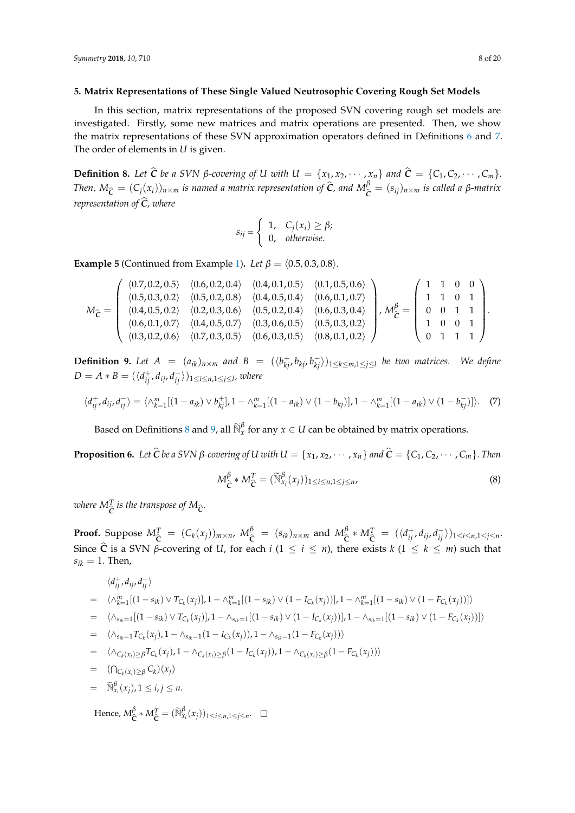#### <span id="page-7-0"></span>**5. Matrix Representations of These Single Valued Neutrosophic Covering Rough Set Models**

In this section, matrix representations of the proposed SVN covering rough set models are investigated. Firstly, some new matrices and matrix operations are presented. Then, we show the matrix representations of these SVN approximation operators defined in Definitions [6](#page-5-0) and [7.](#page-6-0) The order of elements in *U* is given.

<span id="page-7-1"></span>**Definition 8.** Let  $\hat{C}$  be a SVN  $\beta$ -covering of U with  $U = \{x_1, x_2, \dots, x_n\}$  and  $\hat{C} = \{C_1, C_2, \dots, C_m\}$ . Then,  $M_{\widehat{\mathcal{C}}} = (C_j(x_i))_{n \times m}$  is named a matrix representation of  $\widehat{\mathcal{C}}$ , and  $M_{\widehat{\mathcal{C}}}^{\beta} = (s_{ij})_{n \times m}$  is called a  $\beta$ -matrix *representation of*  $\hat{C}$ *, where* 

$$
s_{ij} = \begin{cases} 1, & C_j(x_i) \ge \beta; \\ 0, & \text{otherwise.} \end{cases}
$$

<span id="page-7-4"></span>**Example 5** (Continued from Example [1\)](#page-2-4). *Let*  $\beta = \langle 0.5, 0.3, 0.8 \rangle$ *.* 

$$
M_{\widehat{C}} = \left(\begin{array}{cccccc} \langle 0.7, 0.2, 0.5 \rangle & \langle 0.6, 0.2, 0.4 \rangle & \langle 0.4, 0.1, 0.5 \rangle & \langle 0.1, 0.5, 0.6 \rangle \\ \langle 0.5, 0.3, 0.2 \rangle & \langle 0.5, 0.2, 0.8 \rangle & \langle 0.4, 0.5, 0.4 \rangle & \langle 0.6, 0.1, 0.7 \rangle \\ \langle 0.4, 0.5, 0.2 \rangle & \langle 0.2, 0.3, 0.6 \rangle & \langle 0.5, 0.2, 0.4 \rangle & \langle 0.6, 0.3, 0.4 \rangle \\ \langle 0.6, 0.1, 0.7 \rangle & \langle 0.4, 0.5, 0.7 \rangle & \langle 0.3, 0.6, 0.5 \rangle & \langle 0.5, 0.3, 0.2 \rangle \\ \langle 0.3, 0.2, 0.6 \rangle & \langle 0.7, 0.3, 0.5 \rangle & \langle 0.6, 0.3, 0.5 \rangle & \langle 0.8, 0.1, 0.2 \rangle \end{array}\right), M_{\widehat{C}}^{\beta} = \left(\begin{array}{cccccc} 1 & 1 & 0 & 0 \\ 1 & 1 & 0 & 1 \\ 0 & 0 & 1 & 1 \\ 1 & 0 & 0 & 1 \\ 0 & 1 & 1 & 1 \end{array}\right).
$$

<span id="page-7-2"></span>**Definition 9.** Let  $A = (a_{ik})_{n \times m}$  and  $B = (\langle b_{kj}^+, b_{kj}, b_{kj}^- \rangle)_{1 \leq k \leq m, 1 \leq j \leq l}$  be two matrices. We define  $D = A * B = (\langle d_{ij}^+, d_{ij}, d_{ij}^- \rangle)_{1 \leq i \leq n, 1 \leq j \leq l}$ *, where* 

$$
\langle d_{ij}^+, d_{ij}, d_{ij}^- \rangle = \langle \wedge_{k=1}^m [(1 - a_{ik}) \vee b_{kj}^+], 1 - \wedge_{k=1}^m [(1 - a_{ik}) \vee (1 - b_{kj})], 1 - \wedge_{k=1}^m [(1 - a_{ik}) \vee (1 - b_{kj}^-)] \rangle.
$$
 (7)

Based on Definitions [8](#page-7-1) and [9,](#page-7-2) all  $\widetilde{N}_x^{\beta}$  for any  $x \in U$  can be obtained by matrix operations.

<span id="page-7-3"></span>**Proposition 6.** Let  $\hat{C}$  be a SVN  $\beta$ -covering of U with  $U = \{x_1, x_2, \dots, x_n\}$  and  $\hat{C} = \{C_1, C_2, \dots, C_m\}$ . Then

$$
M_{\hat{C}}^{\beta} * M_{\hat{C}}^T = (\widetilde{N}_{x_i}^{\beta}(x_j))_{1 \le i \le n, 1 \le j \le n},
$$
\n(8)

where  $M_{\widehat{\mathcal{C}}}^{T}$  is the transpose of  $M_{\widehat{\mathcal{C}}}$ *.* 

**Proof.** Suppose  $M_{\hat{C}}^T = (C_k(x_j))_{m \times n}$ ,  $M_{\hat{C}}^{\beta} = (s_{ik})_{n \times m}$  and  $M_{\hat{C}}^{\beta}$ **C**b  $M_{\hat{\mathbf{C}}}^{T} = (\langle d_{ij}^{+}, d_{ij}, d_{ij}^{-} \rangle)_{1 \leq i \leq n, 1 \leq j \leq n}$ Since  $\hat{\mathbf{C}}$  is a SVN *β*-covering of *U*, for each *i* (1  $\leq$  *i*  $\leq$  *n*), there exists *k* (1  $\leq$  *k*  $\leq$  *m*) such that  $s_{ik} = 1$ . Then,

$$
\langle d_{ij}^{+}, d_{ij}, d_{ij}^{-} \rangle
$$
\n
$$
= \langle \wedge_{k=1}^{m} [(1 - s_{ik}) \vee T_{C_{k}}(x_{j})], 1 - \wedge_{k=1}^{m} [(1 - s_{ik}) \vee (1 - I_{C_{k}}(x_{j}))], 1 - \wedge_{k=1}^{m} [(1 - s_{ik}) \vee (1 - F_{C_{k}}(x_{j}))] \rangle
$$
\n
$$
= \langle \wedge_{s_{ik}=1} [(1 - s_{ik}) \vee T_{C_{k}}(x_{j})], 1 - \wedge_{s_{ik}=1} [(1 - s_{ik}) \vee (1 - I_{C_{k}}(x_{j}))], 1 - \wedge_{s_{ik}=1} [(1 - s_{ik}) \vee (1 - F_{C_{k}}(x_{j}))] \rangle
$$
\n
$$
= \langle \wedge_{s_{ik}=1} T_{C_{k}}(x_{j}), 1 - \wedge_{s_{ik}=1} (1 - I_{C_{k}}(x_{j})), 1 - \wedge_{s_{ik}=1} (1 - F_{C_{k}}(x_{j})) \rangle
$$
\n
$$
= \langle \wedge_{C_{k}(x_{i}) \geq \beta} T_{C_{k}}(x_{j}), 1 - \wedge_{C_{k}(x_{i}) \geq \beta} (1 - I_{C_{k}}(x_{j})), 1 - \wedge_{C_{k}(x_{i}) \geq \beta} (1 - F_{C_{k}}(x_{j})) \rangle
$$
\n
$$
= (\bigcap_{C_{k}(x_{i}) \geq \beta} C_{k})(x_{j})
$$
\n
$$
= \widetilde{\mathbb{N}}_{x_{i}}^{\beta}(x_{j}), 1 \leq i, j \leq n.
$$

Hence, *M β*  $\sum_{i=1}^{\beta} K_i M_i^T = (\widetilde{N}_{x_i}^{\beta}(x_j))_{1 \le i \le n, 1 \le j \le n}$ .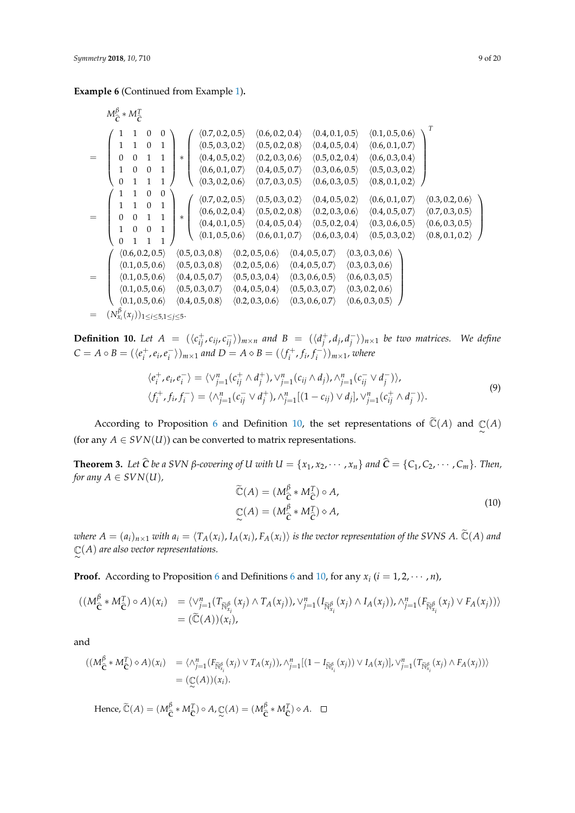**Example 6** (Continued from Example [1\)](#page-2-4)**.**

$$
M_{\tilde{C}}^{\beta} * M_{\tilde{C}}^{T}
$$
\n=\n
$$
\begin{pmatrix}\n1 & 1 & 0 & 0 \\
1 & 1 & 0 & 1 \\
0 & 0 & 1 & 1 \\
0 & 0 & 1 & 1\n\end{pmatrix}\n* \begin{pmatrix}\n\langle 0.7, 0.2, 0.5 \rangle & \langle 0.6, 0.2, 0.4 \rangle & \langle 0.4, 0.1, 0.5 \rangle & \langle 0.1, 0.5, 0.6 \rangle \\
\langle 0.5, 0.3, 0.2 \rangle & \langle 0.5, 0.2, 0.8 \rangle & \langle 0.4, 0.5, 0.4 \rangle & \langle 0.6, 0.1, 0.7 \rangle \\
\langle 0.4, 0.5, 0.2 \rangle & \langle 0.2, 0.3, 0.6 \rangle & \langle 0.5, 0.2, 0.4 \rangle & \langle 0.6, 0.3, 0.4 \rangle \\
\langle 0.6, 0.1, 0.7 \rangle & \langle 0.4, 0.5, 0.7 \rangle & \langle 0.3, 0.6, 0.5 \rangle & \langle 0.5, 0.3, 0.2 \rangle \\
\langle 0.3, 0.2, 0.6 \rangle & \langle 0.7, 0.3, 0.5 \rangle & \langle 0.6, 0.3, 0.5 \rangle & \langle 0.6, 0.1, 0.7 \rangle & \langle 0.3, 0.2, 0.6 \rangle \\
1 & 1 & 0 & 1 \\
0 & 0 & 1 & 1 \\
0 & 0 & 1 & 1\n\end{pmatrix}\n* \begin{pmatrix}\n\langle 0.7, 0.2, 0.5 \rangle & \langle 0.5, 0.3, 0.2 \rangle & \langle 0.4, 0.5, 0.2 \rangle & \langle 0.4, 0.5, 0.2 \rangle & \langle 0.6, 0.1, 0.7 \rangle & \langle 0.3, 0.2 \rangle \\
\langle 0.6, 0.2, 0.4 \rangle & \langle 0.5, 0.2, 0.8 \rangle & \langle 0.2, 0.3, 0.6 \rangle & \langle 0.4, 0.5, 0.7 \rangle & \langle 0.3, 0.6, 0.5 \rangle & \langle 0.7,
$$

<span id="page-8-0"></span>**Definition 10.** Let  $A = (\langle c_{ij}^+, c_{ij}, c_{ij}^- \rangle)_{m \times n}$  and  $B = (\langle d_j^+, d_j, d_j^- \rangle)_{m \times n}$  $\binom{-}{j}_n$ <sub>x1</sub> *be two matrices. We define*  $C = A \circ B = (\langle e_i^+, e_i, e_i^-, e_i^+ \rangle)$  $\binom{1}{i}$ ,  $\binom{n}{i}$  *and*  $D = A \diamond B = (\langle f_i^+, f_i, f_i^-\rangle)$ *i* i)*m*×1*, where*

$$
\langle e_i^+, e_i, e_i^- \rangle = \langle \vee_{j=1}^n (c_{ij}^+ \wedge d_j^+), \vee_{j=1}^n (c_{ij} \wedge d_j), \wedge_{j=1}^n (c_{ij}^- \vee d_j^-) \rangle,
$$
  

$$
\langle f_i^+, f_i, f_i^- \rangle = \langle \wedge_{j=1}^n (c_{ij}^- \vee d_j^+), \wedge_{j=1}^n [(1-c_{ij}) \vee d_j], \vee_{j=1}^n (c_{ij}^+ \wedge d_j^-) \rangle.
$$
 (9)

According to Proposition [6](#page-7-3) and Definition [10,](#page-8-0) the set representations of  $\tilde{\mathbb{C}}(A)$  and  $\mathbb{C}(A)$ (for any  $A \in SVM(U)$ ) can be converted to matrix representations.

**Theorem 3.** Let  $\hat{C}$  be a SVN  $\beta$ -covering of U with  $U = \{x_1, x_2, \dots, x_n\}$  and  $\hat{C} = \{C_1, C_2, \dots, C_m\}$ . Then, *for any*  $A \in SVN(U)$ *,* 

$$
\widetilde{\mathbb{C}}(A) = (M_{\widehat{C}}^{\beta} * M_{\widehat{C}}^T) \circ A,
$$
\n
$$
\mathbb{C}(A) = (M_{\widehat{C}}^{\beta} * M_{\widehat{C}}^T) \circ A,
$$
\n(10)

where  $A = (a_i)_{n \times 1}$  with  $a_i = \langle T_A(x_i), I_A(x_i), F_A(x_i) \rangle$  is the vector representation of the SVNS A.  $\tilde{C}(A)$  and  $\mathbb{C}(A)$  are also vector representations.

**Proof.** According to Proposition [6](#page-5-0) and Definitions 6 and [10,](#page-8-0) for any  $x_i$  ( $i = 1, 2, \cdots, n$ ),

$$
((M_{\widehat{\mathbf{C}}}^{\beta} * M_{\widehat{\mathbf{C}}}^{T}) \circ A)(x_{i}) = \langle \vee_{j=1}^{n} (T_{\widetilde{\mathbb{N}}_{x_{i}}^{\beta}}(x_{j}) \wedge T_{A}(x_{j})), \vee_{j=1}^{n} (I_{\widetilde{\mathbb{N}}_{x_{i}}^{\beta}}(x_{j}) \wedge I_{A}(x_{j})), \wedge_{j=1}^{n} (F_{\widetilde{\mathbb{N}}_{x_{i}}^{\beta}}(x_{j}) \vee F_{A}(x_{j})))
$$
  
=  $(\widetilde{\mathbb{C}}(A))(x_{i}),$ 

and

$$
((M_{\widehat{\mathbf{C}}}^{\beta} * M_{\widehat{\mathbf{C}}}^T) \diamond A)(x_i) = \langle \wedge_{j=1}^n (F_{\widetilde{\mathbb{N}}_{x_i}^{\beta}}(x_j) \vee T_A(x_j)), \wedge_{j=1}^n [(1 - I_{\widetilde{\mathbb{N}}_{x_i}^{\beta}}(x_j)) \vee I_A(x_j)], \vee_{j=1}^n (T_{\widetilde{\mathbb{N}}_{x_i}^{\beta}}(x_j) \wedge F_A(x_j)) \rangle
$$
  
=  $(\mathbb{C}(A))(x_i).$ 

Hence,  $\widetilde{\mathbb{C}}(A) = (M_{\widetilde{\mathsf{C}}}^{\beta})$  $\hat{C} * M_{\hat{C}}^T$ ) ◦ *A*,  $\mathbb{C}(A) = (M_{\hat{C}}^{\beta})$  $\hat{c} * M_{\hat{c}}^T$ )  $\diamond A$ .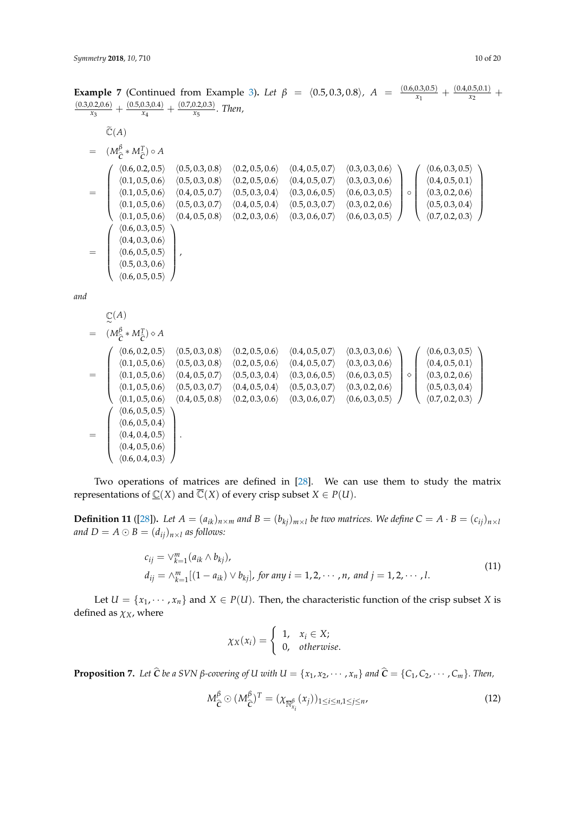**Example 7** (Continued from Example [3\)](#page-5-1). Let  $\beta = (0.5, 0.3, 0.8)$ ,  $A = \frac{(0.6, 0.3, 0.5)}{x_1}$  $\frac{(0.3,0.5)}{x_1} + \frac{(0.4,0.5,0.1)}{x_2}$  $\frac{0.5,0.1)}{x_2}$  +  $(0.3, 0.2, 0.6)$  $\frac{(0.5,0.3,0.4)}{x_3} + \frac{(0.5,0.3,0.4)}{x_4}$  $\frac{(0.7,0.2,0.3)}{x_4}$  +  $\frac{(0.7,0.2,0.3)}{x_5}$ *x*5 *. Then,*

$$
\begin{aligned}\n\widetilde{C}(A) &= (M_{\widehat{C}}^{\beta} * M_{\widehat{C}}^T) \circ A \\
&= \begin{pmatrix}\n\langle 0.6, 0.2, 0.5 \rangle & \langle 0.5, 0.3, 0.8 \rangle & \langle 0.2, 0.5, 0.6 \rangle & \langle 0.2, 0.5, 0.6 \rangle & \langle 0.4, 0.5, 0.7 \rangle & \langle 0.3, 0.3, 0.6 \rangle \\
\langle 0.1, 0.5, 0.6 \rangle & \langle 0.4, 0.5, 0.7 \rangle & \langle 0.2, 0.5, 0.6 \rangle & \langle 0.4, 0.5, 0.7 \rangle & \langle 0.3, 0.3, 0.6 \rangle \\
\langle 0.1, 0.5, 0.6 \rangle & \langle 0.4, 0.5, 0.7 \rangle & \langle 0.5, 0.3, 0.4 \rangle & \langle 0.3, 0.6, 0.5 \rangle & \langle 0.6, 0.3, 0.5 \rangle \\
\langle 0.1, 0.5, 0.6 \rangle & \langle 0.5, 0.3, 0.7 \rangle & \langle 0.4, 0.5, 0.4 \rangle & \langle 0.5, 0.3, 0.7 \rangle & \langle 0.3, 0.6, 0.2 \rangle & \langle 0.3, 0.2, 0.6 \rangle \\
\langle 0.1, 0.5, 0.6 \rangle & \langle 0.4, 0.5, 0.8 \rangle & \langle 0.2, 0.3, 0.6 \rangle & \langle 0.3, 0.6, 0.7 \rangle & \langle 0.6, 0.3, 0.5 \rangle \\
\langle 0.4, 0.3, 0.6 \rangle & & \langle 0.4, 0.5, 0.8 \rangle & \langle 0.2, 0.3, 0.6 \rangle & \langle 0.3, 0.6, 0.7 \rangle & \langle 0.6, 0.3, 0.5 \rangle \\
\langle 0.6, 0.5, 0.5 \rangle & & \langle 0.6, 0.5, 0.
$$

*and*

$$
\begin{array}{lll}\n\mathbb{C}(A) & & & \\
\mathbb{C}(A) & & & \\
\mathbb{C}(\mathbf{A}) & & & \\
\mathbb{C}(\mathbf{A}) & & & \\
\mathbb{C}(\mathbf{A}) & & & \\
\mathbb{C}(\mathbf{A}) & & & \\
\mathbb{C}(\mathbf{A}) & & & \\
\mathbb{C}(\mathbf{A}) & & & \\
\mathbb{C}(\mathbf{A}) & & & \\
\mathbb{C}(\mathbf{A}) & & & \\
\mathbb{C}(\mathbf{A}) & & & \\
\mathbb{C}(\mathbf{A}) & & & \\
\mathbb{C}(\mathbf{A}) & & & \\
\mathbb{C}(\mathbf{A}) & & & \\
\mathbb{C}(\mathbf{A}) & & & \\
\mathbb{C}(\mathbf{A}) & & & \\
\mathbb{C}(\mathbf{A}) & & & \\
\mathbb{C}(\mathbf{A}) & & & \\
\mathbb{C}(\mathbf{A}) & & & \\
\mathbb{C}(\mathbf{A}) & & & \\
\mathbb{C}(\mathbf{A}) & & & \\
\mathbb{C}(\mathbf{A}) & & & \\
\mathbb{C}(\mathbf{A}) & & & \\
\mathbb{C}(\mathbf{A}) & & & \\
\mathbb{C}(\mathbf{A}) & & & \\
\mathbb{C}(\mathbf{A}) & & & \\
\mathbb{C}(\mathbf{A}) & & & \\
\mathbb{C}(\mathbf{A}) & & & \\
\mathbb{C}(\mathbf{A}) & & & \\
\mathbb{C}(\mathbf{A}) & & & \\
\mathbb{C}(\mathbf{A}) & & & \\
\mathbb{C}(\mathbf{A}) & & & \\
\mathbb{C}(\mathbf{A}) & & & \\
\mathbb{C}(\mathbf{A}) & & & \\
\mathbb{C}(\mathbf{A
$$

Two operations of matrices are defined in [\[28\]](#page-18-5). We can use them to study the matrix representations of  $\underline{\mathbb{C}}(X)$  and  $\overline{\mathbb{C}}(X)$  of every crisp subset  $X \in P(U)$ .

**Definition 11** ([\[28\]](#page-18-5)). Let  $A = (a_{ik})_{n \times m}$  and  $B = (b_{kj})_{m \times l}$  be two matrices. We define  $C = A \cdot B = (c_{ij})_{n \times l}$ *and*  $D = A \odot B = (d_{ij})_{n \times l}$  *as follows:* 

$$
c_{ij} = \vee_{k=1}^{m} (a_{ik} \wedge b_{kj}),
$$
  
\n
$$
d_{ij} = \wedge_{k=1}^{m} [(1 - a_{ik}) \vee b_{kj}], \text{ for any } i = 1, 2, \cdots, n, \text{ and } j = 1, 2, \cdots, l.
$$
\n(11)

Let  $U = \{x_1, \dots, x_n\}$  and  $X \in P(U)$ . Then, the characteristic function of the crisp subset *X* is defined as  $\chi_X$ , where

$$
\chi_X(x_i) = \begin{cases} 1, & x_i \in X; \\ 0, & otherwise. \end{cases}
$$

**Proposition 7.** Let  $\hat{C}$  be a SVN  $\beta$ -covering of U with  $U = \{x_1, x_2, \dots, x_n\}$  and  $\hat{C} = \{C_1, C_2, \dots, C_m\}$ . Then,

$$
M_{\hat{C}}^{\beta} \odot (M_{\hat{C}}^{\beta})^T = (\chi_{\overline{N}_{x_i}^{\beta}}(x_j))_{1 \le i \le n, 1 \le j \le n},
$$
\n(12)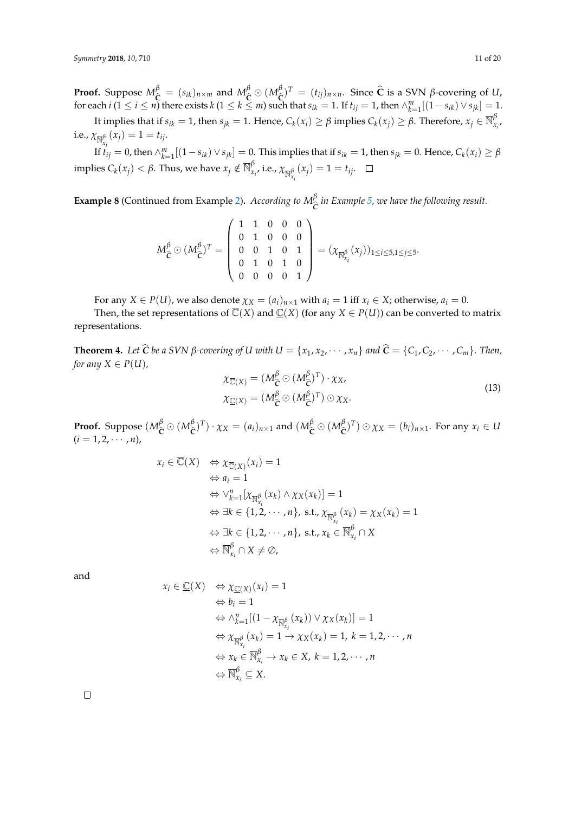**Proof.** Suppose  $M_{\widehat{C}}^{\beta} = (s_{ik})_{n \times m}$  and  $M_{\widehat{C}}^{\beta} \odot (M_{\widehat{C}}^{\beta}$ <br>for each *i*(1 < *i* < *n*) there exists *k*(1 < *k* < *m*) and  $\hat{C}$ )<sup>*T*</sup> = (*t<sub>ij</sub>*) $n \times n$ . Since  $\hat{C}$  is a SVN *β*-covering of *U*,  $\hat{C}$  that  $\hat{C}$  = 1 **If**  $t_{\text{tot}} = 1$ , then  $\wedge^m$ ,  $[(1 - \hat{C}x) \vee \hat{C}x] = 1$ for each  $i$   $(1 \le i \le n)$  there exists  $k$   $(1 \le k \le m)$  such that  $s_{ik} = 1$ . If  $t_{ij} = 1$ , then  $\wedge_{k=1}^{m}[(1 - s_{ik}) \vee s_{jk}] = 1$ .

It implies that if  $s_{ik}=1$ , then  $s_{jk}=1$ . Hence,  $C_k(x_i)\geq \beta$  implies  $C_k(x_j)\geq \beta$ . Therefore,  $x_j\in \overline{\mathbb{N}}_{x_i}^\beta$ , i.e.,  $\chi_{\overline{\mathbb{N}}^{\beta}_{x_i}}(x_j) = 1 = t_{ij}$ .

If  $t_{ij}=0$ , then  $\wedge_{k=1}^m[(1-s_{ik})\vee s_{jk}]=0$ . This implies that if  $s_{ik}=1$ , then  $s_{jk}=0$ . Hence,  $C_k(x_i)\geq \beta$ implies  $C_k(x_j) < \beta$ . Thus, we have  $x_j \notin \overline{\mathbb{N}}_{x_i}^{\beta}$  i.e.,  $\chi_{\overline{\mathbb{N}}_{x_i}^{\beta}}(x_j) = 1 = t_{ij}$ .

<span id="page-10-0"></span>**Example 8** (Continued from Example [2\)](#page-4-4). *According to*  $M_{\tilde{C}}^{\beta}$  *in Example [5,](#page-7-4) we have the following result.* 

$$
M_{\hat{C}}^{\beta} \odot (M_{\hat{C}}^{\beta})^T = \left(\begin{array}{cccc} 1 & 1 & 0 & 0 & 0 \\ 0 & 1 & 0 & 0 & 0 \\ 0 & 0 & 1 & 0 & 1 \\ 0 & 1 & 0 & 1 & 0 \\ 0 & 0 & 0 & 0 & 1 \end{array}\right) = (\chi_{\overline{\mathbb{N}}_{x_i}^{\beta}}(x_j))_{1 \leq i \leq 5, 1 \leq j \leq 5}.
$$

For any  $X \in P(U)$ , we also denote  $\chi_X = (a_i)_{n \times 1}$  with  $a_i = 1$  iff  $x_i \in X$ ; otherwise,  $a_i = 0$ .

Then, the set representations of  $\overline{\mathbb{C}}(X)$  and  $\mathbb{C}(X)$  (for any  $X \in P(U)$ ) can be converted to matrix representations.

**Theorem 4.** Let  $\hat{C}$  be a SVN  $\beta$ -covering of U with  $U = \{x_1, x_2, \dots, x_n\}$  and  $\hat{C} = \{C_1, C_2, \dots, C_m\}$ . Then, *for any*  $X \in P(U)$ *,* 

$$
\chi_{\overline{C}(X)} = (M_{\hat{C}}^{\beta} \odot (M_{\hat{C}}^{\beta})^T) \cdot \chi_X,
$$
  
\n
$$
\chi_{\underline{C}(X)} = (M_{\hat{C}}^{\beta} \odot (M_{\hat{C}}^{\beta})^T) \odot \chi_X.
$$
\n(13)

**Proof.** Suppose  $(M_{\widehat{\mathsf{C}}}^{\beta} \odot (M_{\widehat{\mathsf{C}}}^{\beta})))$  $(\hat{\mathbf{c}}^{\beta})^T$ ) ·  $\chi_X = (a_i)_{n \times 1}$  and  $(M_{\hat{\mathbf{C}}}^{\beta} \odot (M_{\hat{\mathbf{C}}}^{\beta})^T)$  $(\hat{\mathbf{c}})^T$ )  $\odot \chi_X = (b_i)_{n \times 1}$ . For any  $x_i \in U$  $(i = 1, 2, \cdots, n)$ 

$$
x_i \in \overline{\mathbb{C}}(X) \Leftrightarrow \chi_{\overline{\mathbb{C}}(X)}(x_i) = 1
$$
  
\n
$$
\Leftrightarrow a_i = 1
$$
  
\n
$$
\Leftrightarrow \vee_{k=1}^n [\chi_{\overline{\mathbb{N}}_{X_i}^{\beta}}(x_k) \wedge \chi_X(x_k)] = 1
$$
  
\n
$$
\Leftrightarrow \exists k \in \{1, 2, \cdots, n\}, \text{ s.t., } \chi_{\overline{\mathbb{N}}_{X_i}^{\beta}}(x_k) = \chi_X(x_k) = 1
$$
  
\n
$$
\Leftrightarrow \exists k \in \{1, 2, \cdots, n\}, \text{ s.t., } x_k \in \overline{\mathbb{N}}_{X_i}^{\beta} \cap X
$$
  
\n
$$
\Leftrightarrow \overline{\mathbb{N}}_{X_i}^{\beta} \cap X \neq \emptyset,
$$

and

$$
x_i \in \underline{\mathbb{C}}(X) \Leftrightarrow \chi_{\underline{\mathbb{C}}(X)}(x_i) = 1
$$
  
\n
$$
\Leftrightarrow b_i = 1
$$
  
\n
$$
\Leftrightarrow \wedge_{k=1}^n [(1 - \chi_{\overline{N}^{\beta}_{X_i}}(x_k)) \vee \chi_X(x_k)] = 1
$$
  
\n
$$
\Leftrightarrow \chi_{\overline{N}^{\beta}_{X_i}}(x_k) = 1 \rightarrow \chi_X(x_k) = 1, k = 1, 2, \cdots, n
$$
  
\n
$$
\Leftrightarrow x_k \in \overline{N}^{\beta}_{X_i} \rightarrow x_k \in X, k = 1, 2, \cdots, n
$$
  
\n
$$
\Leftrightarrow \overline{N}^{\beta}_{X_i} \subseteq X.
$$

 $\Box$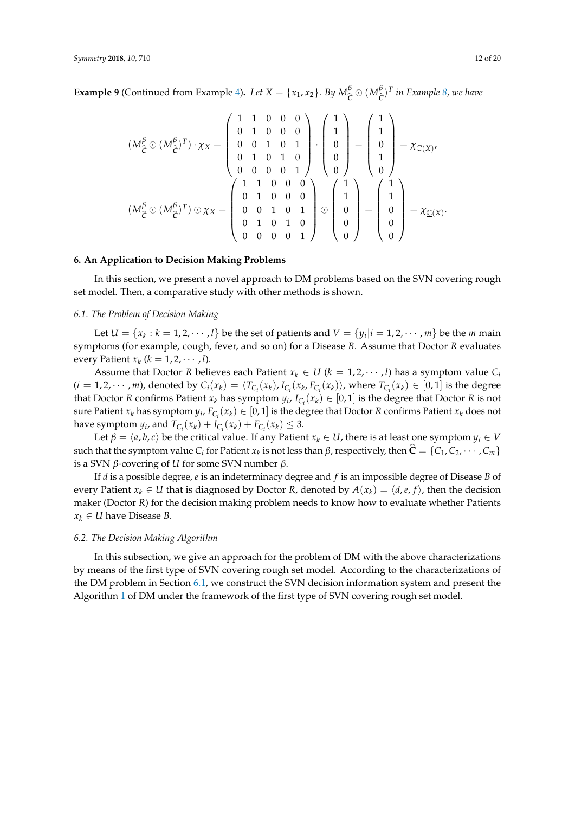**Example 9** (Continued from Example [4\)](#page-6-1). Let  $X = \{x_1, x_2\}$ . By  $M_{\widehat{C}}^{\beta} \odot (M_{\widehat{C}}^{\beta})$  $(\hat{c})^T$  *in Example [8,](#page-10-0) we have* 

$$
(M_{\hat{C}}^{\beta} \odot (M_{\hat{C}}^{\beta})^T) \cdot \chi_X = \begin{pmatrix} 1 & 1 & 0 & 0 & 0 \\ 0 & 1 & 0 & 0 & 0 \\ 0 & 0 & 1 & 0 & 1 \\ 0 & 1 & 0 & 1 & 0 \\ 0 & 0 & 0 & 0 & 1 \end{pmatrix} \cdot \begin{pmatrix} 1 \\ 1 \\ 0 \\ 0 \\ 0 \end{pmatrix} = \begin{pmatrix} 1 \\ 1 \\ 0 \\ 1 \\ 0 \end{pmatrix} = \chi_{\overline{C}(X)},
$$

$$
(M_{\hat{C}}^{\beta} \odot (M_{\hat{C}}^{\beta})^T) \odot \chi_X = \begin{pmatrix} 1 & 1 & 0 & 0 & 0 \\ 0 & 1 & 0 & 1 & 0 \\ 0 & 0 & 1 & 0 & 1 \\ 0 & 1 & 0 & 1 & 0 \\ 0 & 0 & 0 & 0 & 1 \end{pmatrix} \odot \begin{pmatrix} 1 \\ 1 \\ 0 \\ 0 \\ 0 \end{pmatrix} = \begin{pmatrix} 1 \\ 1 \\ 0 \\ 0 \\ 0 \end{pmatrix} = \chi_{\underline{C}(X)}.
$$

#### <span id="page-11-0"></span>**6. An Application to Decision Making Problems**

In this section, we present a novel approach to DM problems based on the SVN covering rough set model. Then, a comparative study with other methods is shown.

#### <span id="page-11-1"></span>*6.1. The Problem of Decision Making*

Let  $U = \{x_k : k = 1, 2, \dots, l\}$  be the set of patients and  $V = \{y_i | i = 1, 2, \dots, m\}$  be the *m* main symptoms (for example, cough, fever, and so on) for a Disease *B*. Assume that Doctor *R* evaluates every Patient  $x_k$  ( $k = 1, 2, \cdots, l$ ).

Assume that Doctor *R* believes each Patient  $x_k \in U$  ( $k = 1, 2, \dots, l$ ) has a symptom value  $C_i$  $(i=1,2,\cdots,m)$ , denoted by  $C_i(x_k) = \langle T_{C_i}(x_k), I_{C_i}(x_k, F_{C_i}(x_k))\rangle$ , where  $T_{C_i}(x_k) \in [0,1]$  is the degree that Doctor *R* confirms Patient  $x_k$  has symptom  $y_i$ ,  $I_{C_i}(x_k) \in [0,1]$  is the degree that Doctor *R* is not sure Patient  $x_k$  has symptom  $y_i$ ,  $F_{C_i}(x_k) \in [0,1]$  is the degree that Doctor *R* confirms Patient  $x_k$  does not have symptom  $y_i$ , and  $T_{C_i}(x_k) + I_{C_i}(x_k) + F_{C_i}(x_k) \leq 3$ .

Let  $\beta = \langle a, b, c \rangle$  be the critical value. If any Patient  $x_k \in U$ , there is at least one symptom  $y_i \in V$ such that the symptom value *C*<sub>*i*</sub> for Patient *x*<sub>*k*</sub> is not less than *β*, respectively, then  $\mathbf{C} = \{C_1, C_2, \cdots, C_m\}$ is a SVN *β*-covering of *U* for some SVN number *β*.

If *d* is a possible degree, *e* is an indeterminacy degree and *f* is an impossible degree of Disease *B* of every Patient  $x_k \in U$  that is diagnosed by Doctor *R*, denoted by  $A(x_k) = \langle d, e, f \rangle$ , then the decision maker (Doctor *R*) for the decision making problem needs to know how to evaluate whether Patients  $x_k \in U$  have Disease *B*.

#### *6.2. The Decision Making Algorithm*

In this subsection, we give an approach for the problem of DM with the above characterizations by means of the first type of SVN covering rough set model. According to the characterizations of the DM problem in Section [6.1,](#page-11-1) we construct the SVN decision information system and present the Algorithm [1](#page-12-0) of DM under the framework of the first type of SVN covering rough set model.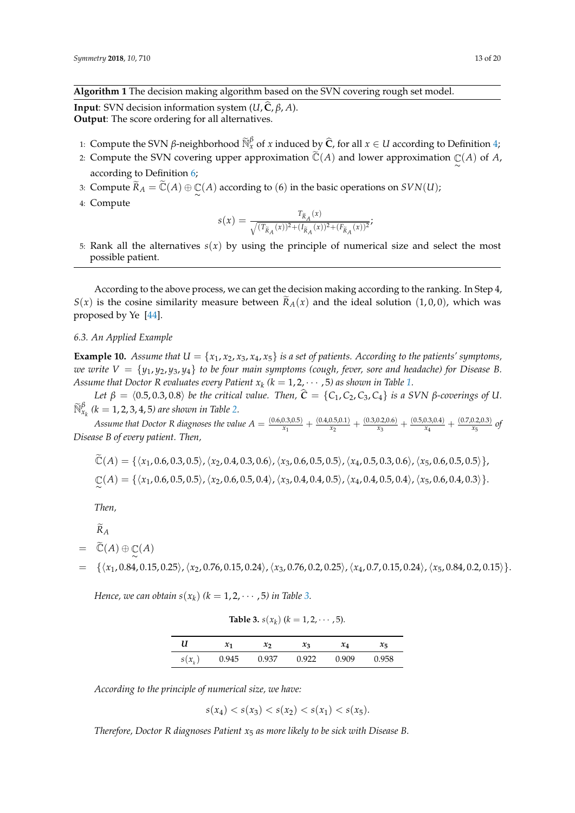<span id="page-12-0"></span>**Algorithm 1** The decision making algorithm based on the SVN covering rough set model.

**Input**: SVN decision information system  $(U, \hat{C}, \beta, A)$ . **Output**: The score ordering for all alternatives.

- 1: Compute the SVN *β*-neighborhood  $\widetilde{\mathbb{N}}_x^{\beta}$  of *x* induced by  $\widehat{C}$ , for all *x* ∈ *U* according to Definition [4;](#page-2-1)
- 2: Compute the SVN covering upper approximation  $\tilde{\mathbb{C}}(A)$  and lower approximation  $\mathbb{C}(A)$  of  $A$ , according to Definition [6;](#page-5-0)
- 3: Compute  $\widetilde{R}_A = \widetilde{\mathbb{C}}(A) \oplus \mathbb{C}(A)$  according to  $(6)$  in the basic operations on  $SVN(U)$ ;
- 4: Compute

$$
s(x) = \frac{T_{\tilde{R}_A}(x)}{\sqrt{(T_{\tilde{R}_A}(x))^2 + (I_{\tilde{R}_A}(x))^2 + (F_{\tilde{R}_A}(x))^2}};
$$

5: Rank all the alternatives  $s(x)$  by using the principle of numerical size and select the most possible patient.

According to the above process, we can get the decision making according to the ranking. In Step 4,  $S(x)$  is the cosine similarity measure between  $\tilde{R}_A(x)$  and the ideal solution (1,0,0), which was proposed by Ye [\[44\]](#page-18-20).

#### *6.3. An Applied Example*

<span id="page-12-2"></span>**Example 10.** *Assume that*  $U = \{x_1, x_2, x_3, x_4, x_5\}$  *is a set of patients. According to the patients' symptoms, we write*  $V = \{y_1, y_2, y_3, y_4\}$  to be four main symptoms (cough, fever, sore and headache) for Disease B. Assume that Doctor R evaluates every Patient  $x_k$  ( $k = 1, 2, \cdots, 5$ ) as shown in Table [1.](#page-2-2)

*Let*  $\beta = \langle 0.5, 0.3, 0.8 \rangle$  *be the critical value. Then,*  $\hat{C} = \{C_1, C_2, C_3, C_4\}$  *is a SVN β*-coverings of U.  $\widetilde{\mathbb{N}}_{x_k}^{\beta}$  (k = 1, 2, 3, 4, 5) are shown in Table [2.](#page-2-3)

*Assume that Doctor R diagnoses the value A* =  $\frac{(0.6,0.3,0.5)}{x_1}$  $\frac{(0.3,0.5)}{x_1} + \frac{(0.4,0.5,0.1)}{x_2}$  $\frac{(0.5,0.1)}{x_2} + \frac{(0.3,0.2,0.6)}{x_3}$  $\frac{(0.2,0.6)}{x_3} + \frac{(0.5,0.3,0.4)}{x_4}$  $\frac{(0.3,0.4)}{x_4} + \frac{(0.7,0.2,0.3)}{x_5}$  $\frac{0.2,0.5}{x_5}$  of *Disease B of every patient. Then,*

$$
\widetilde{\mathbb{C}}(A) = \{ \langle x_1, 0.6, 0.3, 0.5 \rangle, \langle x_2, 0.4, 0.3, 0.6 \rangle, \langle x_3, 0.6, 0.5, 0.5 \rangle, \langle x_4, 0.5, 0.3, 0.6 \rangle, \langle x_5, 0.6, 0.5, 0.5 \rangle \},
$$
  

$$
\mathbb{C}(A) = \{ \langle x_1, 0.6, 0.5, 0.5 \rangle, \langle x_2, 0.6, 0.5, 0.4 \rangle, \langle x_3, 0.4, 0.4, 0.5 \rangle, \langle x_4, 0.4, 0.5, 0.4 \rangle, \langle x_5, 0.6, 0.4, 0.3 \rangle \}.
$$

*Then,*

 $\widetilde{R}_A$ 

$$
= \quad \widetilde{\mathbb{C}}(A) \oplus \mathbb{C}(A)
$$

 $\{\langle x_1, 0.84, 0.15, 0.25\rangle, \langle x_2, 0.76, 0.15, 0.24\rangle, \langle x_3, 0.76, 0.2, 0.25\rangle, \langle x_4, 0.7, 0.15, 0.24\rangle, \langle x_5, 0.84, 0.2, 0.15\rangle\}.$ 

<span id="page-12-1"></span>*Hence, we can obtain*  $s(x_k)$  ( $k = 1, 2, \cdots, 5$ ) in Table [3.](#page-12-1)

**Table 3.**  $s(x_k)$  ( $k = 1, 2, \cdots, 5$ ).

| U | $\mathcal{X}_1$                  | $\mathcal{X}$ | $x_3$ | $x_4$ | $x_{5}$ |
|---|----------------------------------|---------------|-------|-------|---------|
|   | $s(x_k)$ 0.945 0.937 0.922 0.909 |               |       |       | 0.958   |

*According to the principle of numerical size, we have:*

 $s(x_4) < s(x_3) < s(x_2) < s(x_1) < s(x_5)$ .

*Therefore, Doctor R diagnoses Patient x*<sup>5</sup> *as more likely to be sick with Disease B.*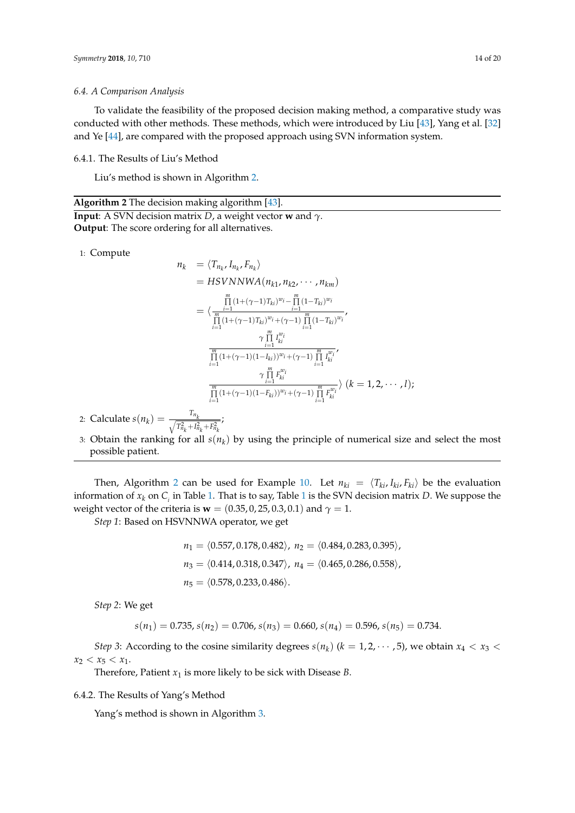To validate the feasibility of the proposed decision making method, a comparative study was conducted with other methods. These methods, which were introduced by Liu [\[43\]](#page-18-19), Yang et al. [\[32\]](#page-18-10) and Ye [\[44\]](#page-18-20), are compared with the proposed approach using SVN information system.

6.4.1. The Results of Liu's Method

Liu's method is shown in Algorithm [2.](#page-13-0)

<span id="page-13-0"></span>**Algorithm 2** The decision making algorithm [\[43\]](#page-18-19). **Input**: A SVN decision matrix *D*, a weight vector **w** and *γ*. **Output**: The score ordering for all alternatives.

1: Compute

$$
n_{k} = \langle T_{n_{k}}, I_{n_{k}}, F_{n_{k}} \rangle
$$
  
\n
$$
= HSVNNWA(n_{k1}, n_{k2}, \dots, n_{km})
$$
  
\n
$$
= \langle \frac{\prod_{i=1}^{m} (1 + (\gamma - 1)T_{ki})^{w_i} - \prod_{i=1}^{m} (1 - T_{ki})^{w_i}}{\prod_{i=1}^{m} (1 + (\gamma - 1)T_{ki})^{w_i} + (\gamma - 1) \prod_{i=1}^{m} (1 - T_{ki})^{w_i}}, \frac{\gamma \prod_{i=1}^{m} I_{ki}^{w_i}}{\prod_{i=1}^{m} (1 + (\gamma - 1)(1 - I_{ki}))^{w_i} + (\gamma - 1) \prod_{i=1}^{m} I_{ki}^{w_i}}, \frac{\gamma \prod_{i=1}^{m} F_{ki}^{w_i}}{\prod_{i=1}^{m} (1 + (\gamma - 1)(1 - F_{ki}))^{w_i} + (\gamma - 1) \prod_{i=1}^{m} F_{ki}^{w_i}} \rangle (k = 1, 2, \dots, l);
$$

2: Calculate  $s(n_k) = \frac{T_{n_k}}{\sqrt{T_{n_k}^2 + I_{n_k}^2 + F_{n_k}^2}}$ ;

3: Obtain the ranking for all *s*(*n<sup>k</sup>* ) by using the principle of numerical size and select the most possible patient.

Then, Algorithm [2](#page-13-0) can be used for Example [10.](#page-12-2) Let  $n_{ki} = \langle T_{ki}, I_{ki}, F_{ki} \rangle$  be the evaluation information of  $x_k$  on  $C_i$  in Table [1.](#page-2-2) That is to say, Table [1](#page-2-2) is the SVN decision matrix  $D$ . We suppose the weight vector of the criteria is **w** =  $(0.35, 0.25, 0.3, 0.1)$  and  $\gamma = 1$ .

*Step 1*: Based on HSVNNWA operator, we get

$$
n_1 = \langle 0.557, 0.178, 0.482 \rangle, n_2 = \langle 0.484, 0.283, 0.395 \rangle,
$$
  
\n
$$
n_3 = \langle 0.414, 0.318, 0.347 \rangle, n_4 = \langle 0.465, 0.286, 0.558 \rangle,
$$
  
\n
$$
n_5 = \langle 0.578, 0.233, 0.486 \rangle.
$$

*Step 2*: We get

$$
s(n_1) = 0.735, s(n_2) = 0.706, s(n_3) = 0.660, s(n_4) = 0.596, s(n_5) = 0.734.
$$

*Step 3*: According to the cosine similarity degrees  $s(n_k)$  ( $k = 1, 2, \cdots, 5$ ), we obtain  $x_4 < x_3 <$  $x_2 < x_5 < x_1$ .

Therefore, Patient  $x_1$  is more likely to be sick with Disease *B*.

6.4.2. The Results of Yang's Method

Yang's method is shown in Algorithm [3.](#page-14-0)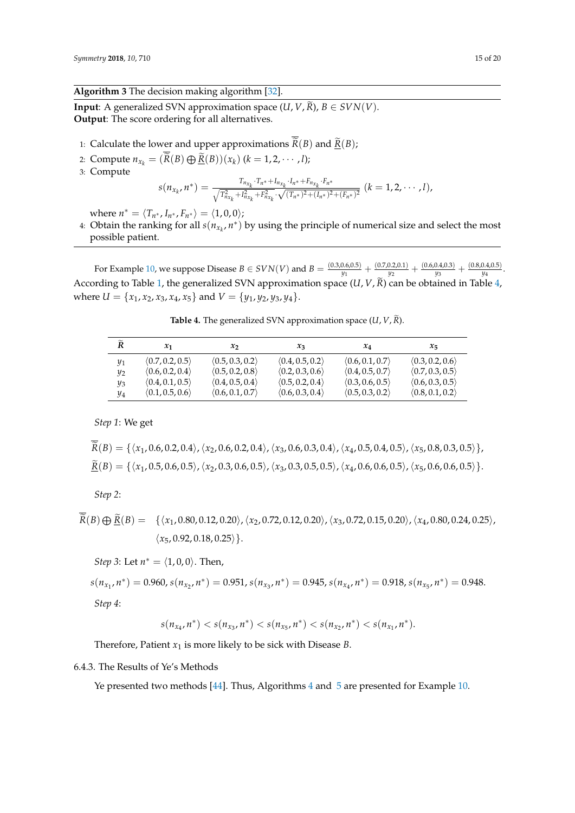<span id="page-14-0"></span>**Algorithm 3** The decision making algorithm [\[32\]](#page-18-10).

**Input**: A generalized SVN approximation space  $(U, V, \tilde{R})$ ,  $B \in SVN(V)$ . **Output**: The score ordering for all alternatives.

- 1: Calculate the lower and upper approximations  $\overline{\widetilde{R}}(B)$  and  $\underline{\widetilde{R}}(B)$ ;
- 2: Compute  $n_{x_k} = (R(B) \bigoplus R(B))(x_k)$  ( $k = 1, 2, \dots, l$ );
- 3: Compute

$$
s(n_{x_k},n^*)=\frac{T_{n_{x_k}}\cdot T_{n^*}+I_{n_{x_k}}\cdot I_{n^*}+F_{n_{x_k}}\cdot T_{n^*}}{\sqrt{T_{n_{x_k}}^2+I_{n_{x_k}}^2+F_{n_{x_k}}^2}\cdot\sqrt{(T_{n^*})^2+(I_{n^*})^2+(F_{n^*})^2}}\ (k=1,2,\cdots,l),
$$

where  $n^* = \langle T_{n^*}, I_{n^*}, F_{n^*} \rangle = \langle 1, 0, 0 \rangle;$ 

4: Obtain the ranking for all  $s(n_{x_k}, n^*)$  by using the principle of numerical size and select the most possible patient.

For Example [10,](#page-12-2) we suppose Disease  $B \in SVN(V)$  and  $B = \frac{(0.3,0.6,0.5)}{y_1}$  $\frac{(0.6,0.5)}{y_1} + \frac{(0.7,0.2,0.1)}{y_2}$  $\frac{(0.2,0.1)}{y_2} + \frac{(0.6,0.4,0.3)}{y_3}$  $\frac{(0.4,0.3)}{y_3} + \frac{(0.8,0.4,0.5)}{y_4}$  $\frac{0.4,0.5)}{y_4}$ . According to Table [1,](#page-2-2) the generalized SVN approximation space  $(U, V, \tilde{R})$  can be obtained in Table [4,](#page-14-1) where  $U = \{x_1, x_2, x_3, x_4, x_5\}$  and  $V = \{y_1, y_2, y_3, y_4\}.$ 

| <b>Table 4.</b> The generalized SVN approximation space $(U, V, R)$ . |  |  |
|-----------------------------------------------------------------------|--|--|
|                                                                       |  |  |

<span id="page-14-1"></span>

| $\widetilde{R}$ | $\mathcal{X}_1$                 | $x_2$                           | $x_3$                           | $x_4$                           | $x_{5}$                         |
|-----------------|---------------------------------|---------------------------------|---------------------------------|---------------------------------|---------------------------------|
| $y_1$           | $\langle 0.7, 0.2, 0.5 \rangle$ | $\langle 0.5, 0.3, 0.2 \rangle$ | $\langle 0.4, 0.5, 0.2 \rangle$ | $\langle 0.6, 0.1, 0.7 \rangle$ | $\langle 0.3, 0.2, 0.6 \rangle$ |
| $y_2$           | $\langle 0.6, 0.2, 0.4 \rangle$ | (0.5, 0.2, 0.8)                 | $\langle 0.2, 0.3, 0.6 \rangle$ | $\langle 0.4, 0.5, 0.7 \rangle$ | (0.7, 0.3, 0.5)                 |
| yз              | $\langle 0.4, 0.1, 0.5 \rangle$ | $\langle 0.4, 0.5, 0.4 \rangle$ | (0.5, 0.2, 0.4)                 | (0.3, 0.6, 0.5)                 | (0.6, 0.3, 0.5)                 |
| $y_4$           | (0.1, 0.5, 0.6)                 | $\langle 0.6, 0.1, 0.7 \rangle$ | $\langle 0.6, 0.3, 0.4 \rangle$ | $\langle 0.5, 0.3, 0.2 \rangle$ | $\langle 0.8, 0.1, 0.2 \rangle$ |

*Step 1*: We get

$$
\widetilde{R}(B) = \{ \langle x_1, 0.6, 0.2, 0.4 \rangle, \langle x_2, 0.6, 0.2, 0.4 \rangle, \langle x_3, 0.6, 0.3, 0.4 \rangle, \langle x_4, 0.5, 0.4, 0.5 \rangle, \langle x_5, 0.8, 0.3, 0.5 \rangle \},
$$
\n
$$
\underline{\widetilde{R}}(B) = \{ \langle x_1, 0.5, 0.6, 0.5 \rangle, \langle x_2, 0.3, 0.6, 0.5 \rangle, \langle x_3, 0.3, 0.5, 0.5 \rangle, \langle x_4, 0.6, 0.6, 0.5 \rangle, \langle x_5, 0.6, 0.6, 0.5 \rangle \}.
$$

*Step 2*:

$$
\widetilde{R}(B) \bigoplus \underline{\widetilde{R}}(B) = \{ \langle x_1, 0.80, 0.12, 0.20 \rangle, \langle x_2, 0.72, 0.12, 0.20 \rangle, \langle x_3, 0.72, 0.15, 0.20 \rangle, \langle x_4, 0.80, 0.24, 0.25 \rangle, \langle x_5, 0.92, 0.18, 0.25 \rangle \}.
$$

*Step 3*: Let  $n^* = \langle 1, 0, 0 \rangle$ . Then,

 $s(n_{x_1}, n^*) = 0.960$ ,  $s(n_{x_2}, n^*) = 0.951$ ,  $s(n_{x_3}, n^*) = 0.945$ ,  $s(n_{x_4}, n^*) = 0.918$ ,  $s(n_{x_5}, n^*) = 0.948$ . *Step 4*:

$$
s(n_{x_4},n^*) < s(n_{x_3},n^*) < s(n_{x_5},n^*) < s(n_{x_2},n^*) < s(n_{x_1},n^*).
$$

Therefore, Patient  $x_1$  is more likely to be sick with Disease *B*.

#### 6.4.3. The Results of Ye's Methods

Ye presented two methods [\[44\]](#page-18-20). Thus, Algorithms [4](#page-15-0) and [5](#page-15-1) are presented for Example [10.](#page-12-2)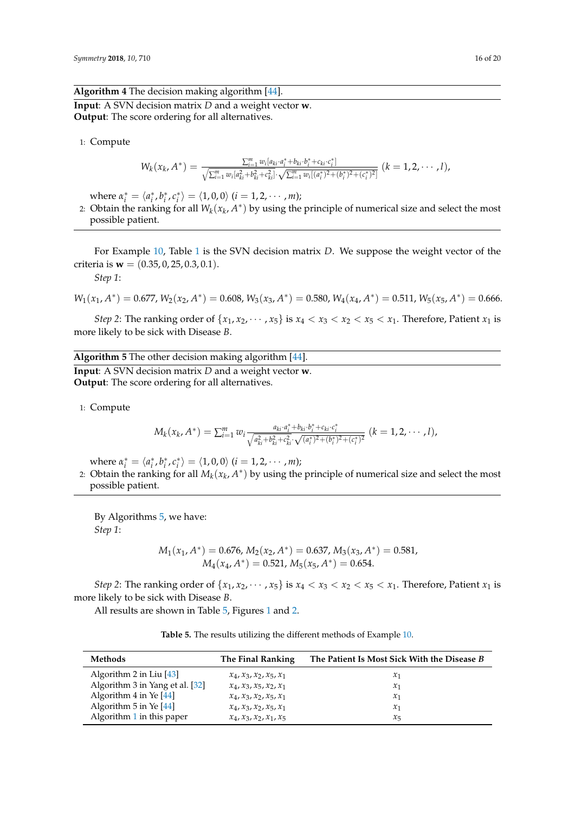<span id="page-15-0"></span>**Algorithm 4** The decision making algorithm [\[44\]](#page-18-20). **Input**: A SVN decision matrix *D* and a weight vector **w**. **Output**: The score ordering for all alternatives.

1: Compute

$$
W_k(x_k, A^*) = \frac{\sum_{i=1}^m w_i[a_{ki} \cdot a_i^* + b_{ki} \cdot b_i^* + c_{ki} \cdot c_i^*]}{\sqrt{\sum_{i=1}^m w_i[a_{ki}^2 + b_{ki}^2 + c_{ki}^2] \cdot \sqrt{\sum_{i=1}^m w_i[(a_i^*)^2 + (b_i^*)^2 + (c_i^*)^2]}}} (k = 1, 2, \cdots, l),
$$

where  $\alpha_i^* = \langle a_i^*, b_i^*, c_i^* \rangle = \langle 1, 0, 0 \rangle$   $(i = 1, 2, \cdots, m)$ ;

2: Obtain the ranking for all  $W_k(x_k, A^*)$  by using the principle of numerical size and select the most possible patient.

For Example [10,](#page-12-2) Table [1](#page-2-2) is the SVN decision matrix *D*. We suppose the weight vector of the criteria is **w** = (0.35, 0, 25, 0.3, 0.1).

*Step 1*:

$$
W_1(x_1, A^*) = 0.677, W_2(x_2, A^*) = 0.608, W_3(x_3, A^*) = 0.580, W_4(x_4, A^*) = 0.511, W_5(x_5, A^*) = 0.666.
$$

*Step 2*: The ranking order of  $\{x_1, x_2, \dots, x_5\}$  is  $x_4 < x_3 < x_2 < x_5 < x_1$ . Therefore, Patient  $x_1$  is more likely to be sick with Disease *B*.

<span id="page-15-1"></span>**Algorithm 5** The other decision making algorithm [\[44\]](#page-18-20). **Input**: A SVN decision matrix *D* and a weight vector **w**. **Output**: The score ordering for all alternatives.

1: Compute

$$
M_k(x_k, A^*) = \sum_{i=1}^m w_i \frac{a_{ki} \cdot a_i^* + b_{ki} \cdot b_i^* + c_{ki} \cdot c_i^*}{\sqrt{a_{ki}^2 + b_{ki}^2 + c_{ki}^2} \cdot \sqrt{(a_i^*)^2 + (b_i^*)^2 + (c_i^*)^2}} \ (k = 1, 2, \cdots, l),
$$

where  $\alpha_i^* = \langle a_i^*, b_i^*, c_i^* \rangle = \langle 1, 0, 0 \rangle$   $(i = 1, 2, \cdots, m)$ ;

2: Obtain the ranking for all  $M_k(x_k, A^*)$  by using the principle of numerical size and select the most possible patient.

By Algorithms [5,](#page-15-1) we have: *Step 1*:

$$
M_1(x_1, A^*) = 0.676, M_2(x_2, A^*) = 0.637, M_3(x_3, A^*) = 0.581,
$$
  

$$
M_4(x_4, A^*) = 0.521, M_5(x_5, A^*) = 0.654.
$$

*Step 2*: The ranking order of  $\{x_1, x_2, \dots, x_5\}$  is  $x_4 < x_3 < x_2 < x_5 < x_1$ . Therefore, Patient  $x_1$  is more likely to be sick with Disease *B*.

<span id="page-15-2"></span>All results are shown in Table [5,](#page-15-2) Figures [1](#page-16-1) and [2.](#page-16-2)

**Table 5.** The results utilizing the different methods of Example [10.](#page-12-2)

| Methods                         | The Final Ranking         | The Patient Is Most Sick With the Disease B |
|---------------------------------|---------------------------|---------------------------------------------|
| Algorithm 2 in Liu $[43]$       | $x_4, x_3, x_2, x_5, x_1$ | $x_1$                                       |
| Algorithm 3 in Yang et al. [32] | $x_4, x_3, x_5, x_2, x_1$ | $\mathcal{X}_1$                             |
| Algorithm 4 in Ye [44]          | $x_4, x_3, x_2, x_5, x_1$ | $\mathcal{X}_1$                             |
| Algorithm 5 in Ye [44]          | $x_4, x_3, x_2, x_5, x_1$ | $\mathcal{X}_1$                             |
| Algorithm 1 in this paper       | $x_4, x_3, x_2, x_1, x_5$ | $x_{5}$                                     |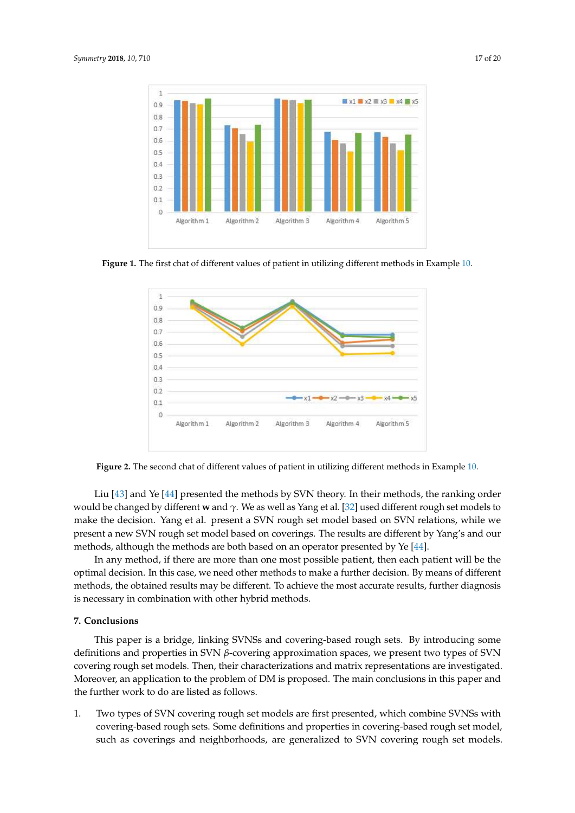<span id="page-16-1"></span>

<span id="page-16-2"></span>**Figure 1.** The first chat of different values of patient in utilizing different methods in Example [10.](#page-12-2)



**Figure 2.** The second chat of different values of patient in utilizing different methods in Example [10.](#page-12-2)

Liu [\[43\]](#page-18-19) and Ye [\[44\]](#page-18-20) presented the methods by SVN theory. In their methods, the ranking order would be changed by different **w** and *γ*. We as well as Yang et al. [\[32\]](#page-18-10) used different rough set models to make the decision. Yang et al. present a SVN rough set model based on SVN relations, while we present a new SVN rough set model based on coverings. The results are different by Yang's and our methods, although the methods are both based on an operator presented by Ye [\[44\]](#page-18-20).

In any method, if there are more than one most possible patient, then each patient will be the optimal decision. In this case, we need other methods to make a further decision. By means of different methods, the obtained results may be different. To achieve the most accurate results, further diagnosis is necessary in combination with other hybrid methods.

#### <span id="page-16-0"></span>**7. Conclusions**

This paper is a bridge, linking SVNSs and covering-based rough sets. By introducing some definitions and properties in SVN *β*-covering approximation spaces, we present two types of SVN covering rough set models. Then, their characterizations and matrix representations are investigated. Moreover, an application to the problem of DM is proposed. The main conclusions in this paper and the further work to do are listed as follows.

1. Two types of SVN covering rough set models are first presented, which combine SVNSs with covering-based rough sets. Some definitions and properties in covering-based rough set model, such as coverings and neighborhoods, are generalized to SVN covering rough set models.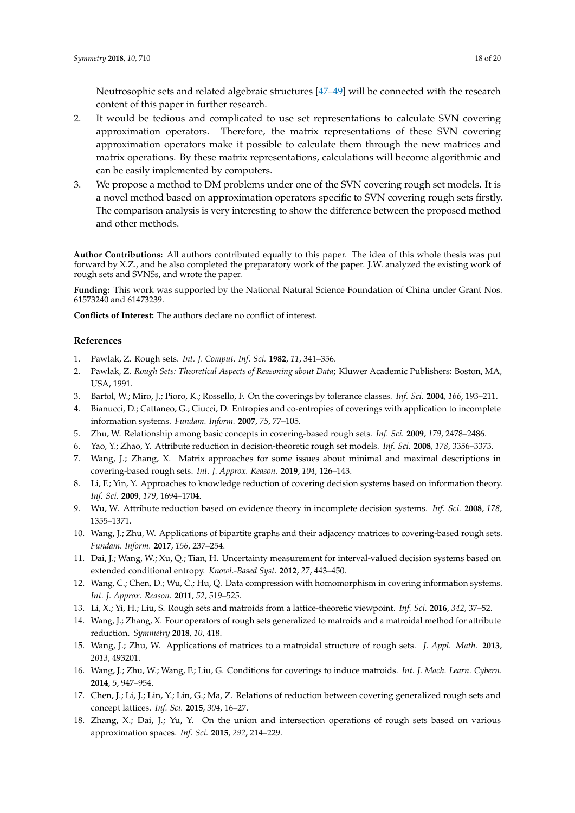Neutrosophic sets and related algebraic structures [\[47–](#page-19-0)[49\]](#page-19-1) will be connected with the research content of this paper in further research.

- 2. It would be tedious and complicated to use set representations to calculate SVN covering approximation operators. Therefore, the matrix representations of these SVN covering approximation operators make it possible to calculate them through the new matrices and matrix operations. By these matrix representations, calculations will become algorithmic and can be easily implemented by computers.
- 3. We propose a method to DM problems under one of the SVN covering rough set models. It is a novel method based on approximation operators specific to SVN covering rough sets firstly. The comparison analysis is very interesting to show the difference between the proposed method and other methods.

**Author Contributions:** All authors contributed equally to this paper. The idea of this whole thesis was put forward by X.Z., and he also completed the preparatory work of the paper. J.W. analyzed the existing work of rough sets and SVNSs, and wrote the paper.

**Funding:** This work was supported by the National Natural Science Foundation of China under Grant Nos. 61573240 and 61473239.

**Conflicts of Interest:** The authors declare no conflict of interest.

#### **References**

- <span id="page-17-0"></span>1. Pawlak, Z. Rough sets. *Int. J. Comput. Inf. Sci.* **1982**, *11*, 341–356.
- <span id="page-17-1"></span>2. Pawlak, Z. *Rough Sets: Theoretical Aspects of Reasoning about Data*; Kluwer Academic Publishers: Boston, MA, USA, 1991.
- <span id="page-17-2"></span>3. Bartol, W.; Miro, J.; Pioro, K.; Rossello, F. On the coverings by tolerance classes. *Inf. Sci.* **2004**, *166*, 193–211.
- 4. Bianucci, D.; Cattaneo, G.; Ciucci, D. Entropies and co-entropies of coverings with application to incomplete information systems. *Fundam. Inform.* **2007**, *75*, 77–105.
- <span id="page-17-3"></span>5. Zhu, W. Relationship among basic concepts in covering-based rough sets. *Inf. Sci.* **2009**, *179*, 2478–2486.
- <span id="page-17-4"></span>6. Yao, Y.; Zhao, Y. Attribute reduction in decision-theoretic rough set models. *Inf. Sci.* **2008**, *178*, 3356–3373.
- <span id="page-17-5"></span>7. Wang, J.; Zhang, X. Matrix approaches for some issues about minimal and maximal descriptions in covering-based rough sets. *Int. J. Approx. Reason.* **2019**, *104*, 126–143.
- <span id="page-17-6"></span>8. Li, F.; Yin, Y. Approaches to knowledge reduction of covering decision systems based on information theory. *Inf. Sci.* **2009**, *179*, 1694–1704.
- <span id="page-17-7"></span>9. Wu, W. Attribute reduction based on evidence theory in incomplete decision systems. *Inf. Sci.* **2008**, *178*, 1355–1371.
- <span id="page-17-8"></span>10. Wang, J.; Zhu, W. Applications of bipartite graphs and their adjacency matrices to covering-based rough sets. *Fundam. Inform.* **2017**, *156*, 237–254.
- 11. Dai, J.; Wang, W.; Xu, Q.; Tian, H. Uncertainty measurement for interval-valued decision systems based on extended conditional entropy. *Knowl.-Based Syst.* **2012**, *27*, 443–450.
- <span id="page-17-9"></span>12. Wang, C.; Chen, D.; Wu, C.; Hu, Q. Data compression with homomorphism in covering information systems. *Int. J. Approx. Reason.* **2011**, *52*, 519–525.
- <span id="page-17-10"></span>13. Li, X.; Yi, H.; Liu, S. Rough sets and matroids from a lattice-theoretic viewpoint. *Inf. Sci.* **2016**, *342*, 37–52.
- 14. Wang, J.; Zhang, X. Four operators of rough sets generalized to matroids and a matroidal method for attribute reduction. *Symmetry* **2018**, *10*, 418.
- 15. Wang, J.; Zhu, W. Applications of matrices to a matroidal structure of rough sets. *J. Appl. Math.* **2013**, *2013*, 493201.
- <span id="page-17-11"></span>16. Wang, J.; Zhu, W.; Wang, F.; Liu, G. Conditions for coverings to induce matroids. *Int. J. Mach. Learn. Cybern.* **2014**, *5*, 947–954.
- <span id="page-17-12"></span>17. Chen, J.; Li, J.; Lin, Y.; Lin, G.; Ma, Z. Relations of reduction between covering generalized rough sets and concept lattices. *Inf. Sci.* **2015**, *304*, 16–27.
- <span id="page-17-13"></span>18. Zhang, X.; Dai, J.; Yu, Y. On the union and intersection operations of rough sets based on various approximation spaces. *Inf. Sci.* **2015**, *292*, 214–229.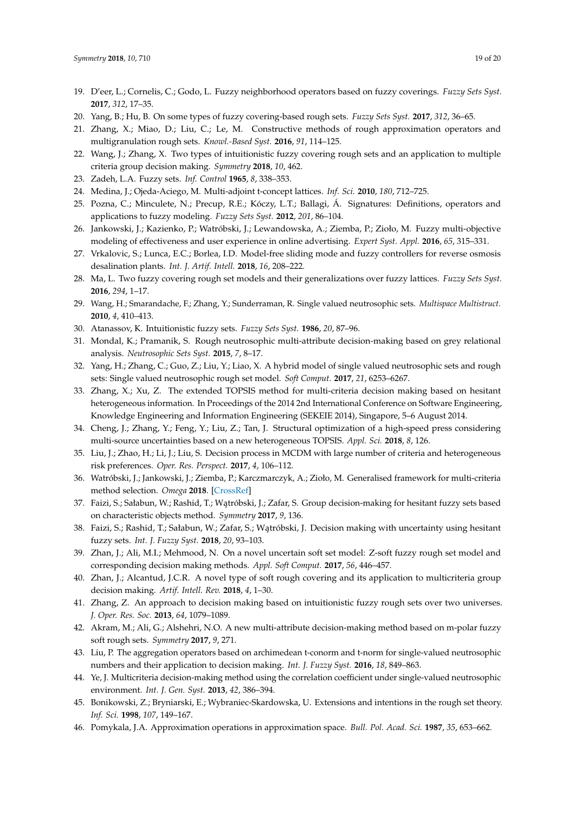- <span id="page-18-0"></span>19. D'eer, L.; Cornelis, C.; Godo, L. Fuzzy neighborhood operators based on fuzzy coverings. *Fuzzy Sets Syst.* **2017**, *312*, 17–35.
- <span id="page-18-6"></span>20. Yang, B.; Hu, B. On some types of fuzzy covering-based rough sets. *Fuzzy Sets Syst.* **2017**, *312*, 36–65.
- 21. Zhang, X.; Miao, D.; Liu, C.; Le, M. Constructive methods of rough approximation operators and multigranulation rough sets. *Knowl.-Based Syst.* **2016**, *91*, 114–125.
- <span id="page-18-1"></span>22. Wang, J.; Zhang, X. Two types of intuitionistic fuzzy covering rough sets and an application to multiple criteria group decision making. *Symmetry* **2018**, *10*, 462.
- <span id="page-18-2"></span>23. Zadeh, L.A. Fuzzy sets. *Inf. Control* **1965**, *8*, 338–353.
- <span id="page-18-3"></span>24. Medina, J.; Ojeda-Aciego, M. Multi-adjoint t-concept lattices. *Inf. Sci.* **2010**, *180*, 712–725.
- 25. Pozna, C.; Minculete, N.; Precup, R.E.; Kóczy, L.T.; Ballagi, Á. Signatures: Definitions, operators and applications to fuzzy modeling. *Fuzzy Sets Syst.* **2012**, *201*, 86–104.
- 26. Jankowski, J.; Kazienko, P.; Watróbski, J.; Lewandowska, A.; Ziemba, P.; Zioło, M. Fuzzy multi-objective modeling of effectiveness and user experience in online advertising. *Expert Syst. Appl.* **2016**, *65*, 315–331.
- <span id="page-18-4"></span>27. Vrkalovic, S.; Lunca, E.C.; Borlea, I.D. Model-free sliding mode and fuzzy controllers for reverse osmosis desalination plants. *Int. J. Artif. Intell.* **2018**, *16*, 208–222.
- <span id="page-18-5"></span>28. Ma, L. Two fuzzy covering rough set models and their generalizations over fuzzy lattices. *Fuzzy Sets Syst.* **2016**, *294*, 1–17.
- <span id="page-18-7"></span>29. Wang, H.; Smarandache, F.; Zhang, Y.; Sunderraman, R. Single valued neutrosophic sets. *Multispace Multistruct.* **2010**, *4*, 410–413.
- <span id="page-18-9"></span><span id="page-18-8"></span>30. Atanassov, K. Intuitionistic fuzzy sets. *Fuzzy Sets Syst.* **1986**, *20*, 87–96.
- 31. Mondal, K.; Pramanik, S. Rough neutrosophic multi-attribute decision-making based on grey relational analysis. *Neutrosophic Sets Syst.* **2015**, *7*, 8–17.
- <span id="page-18-10"></span>32. Yang, H.; Zhang, C.; Guo, Z.; Liu, Y.; Liao, X. A hybrid model of single valued neutrosophic sets and rough sets: Single valued neutrosophic rough set model. *Soft Comput.* **2017**, *21*, 6253–6267.
- <span id="page-18-11"></span>33. Zhang, X.; Xu, Z. The extended TOPSIS method for multi-criteria decision making based on hesitant heterogeneous information. In Proceedings of the 2014 2nd International Conference on Software Engineering, Knowledge Engineering and Information Engineering (SEKEIE 2014), Singapore, 5–6 August 2014.
- <span id="page-18-12"></span>34. Cheng, J.; Zhang, Y.; Feng, Y.; Liu, Z.; Tan, J. Structural optimization of a high-speed press considering multi-source uncertainties based on a new heterogeneous TOPSIS. *Appl. Sci.* **2018**, *8*, 126.
- <span id="page-18-13"></span>35. Liu, J.; Zhao, H.; Li, J.; Liu, S. Decision process in MCDM with large number of criteria and heterogeneous risk preferences. *Oper. Res. Perspect.* **2017**, *4*, 106–112.
- <span id="page-18-14"></span>36. Watróbski, J.; Jankowski, J.; Ziemba, P.; Karczmarczyk, A.; Zioło, M. Generalised framework for multi-criteria method selection. *Omega* **2018**. [\[CrossRef\]](http://dx.doi.org/10.1016/j.omega.2018.07.004)
- <span id="page-18-15"></span>37. Faizi, S.; Sałabun, W.; Rashid, T.; Wątróbski, J.; Zafar, S. Group decision-making for hesitant fuzzy sets based on characteristic objects method. *Symmetry* **2017**, *9*, 136.
- <span id="page-18-16"></span>38. Faizi, S.; Rashid, T.; Sałabun, W.; Zafar, S.; Watróbski, J. Decision making with uncertainty using hesitant fuzzy sets. *Int. J. Fuzzy Syst.* **2018**, *20*, 93–103.
- <span id="page-18-17"></span>39. Zhan, J.; Ali, M.I.; Mehmood, N. On a novel uncertain soft set model: Z-soft fuzzy rough set model and corresponding decision making methods. *Appl. Soft Comput.* **2017**, *56*, 446–457.
- 40. Zhan, J.; Alcantud, J.C.R. A novel type of soft rough covering and its application to multicriteria group decision making. *Artif. Intell. Rev.* **2018**, *4*, 1–30.
- 41. Zhang, Z. An approach to decision making based on intuitionistic fuzzy rough sets over two universes. *J. Oper. Res. Soc.* **2013**, *64*, 1079–1089.
- <span id="page-18-18"></span>42. Akram, M.; Ali, G.; Alshehri, N.O. A new multi-attribute decision-making method based on m-polar fuzzy soft rough sets. *Symmetry* **2017**, *9*, 271.
- <span id="page-18-19"></span>43. Liu, P. The aggregation operators based on archimedean t-conorm and t-norm for single-valued neutrosophic numbers and their application to decision making. *Int. J. Fuzzy Syst.* **2016**, *18*, 849–863.
- <span id="page-18-20"></span>44. Ye, J. Multicriteria decision-making method using the correlation coefficient under single-valued neutrosophic environment. *Int. J. Gen. Syst.* **2013**, *42*, 386–394.
- <span id="page-18-21"></span>45. Bonikowski, Z.; Bryniarski, E.; Wybraniec-Skardowska, U. Extensions and intentions in the rough set theory. *Inf. Sci.* **1998**, *107*, 149–167.
- <span id="page-18-22"></span>46. Pomykala, J.A. Approximation operations in approximation space. *Bull. Pol. Acad. Sci.* **1987**, *35*, 653–662.